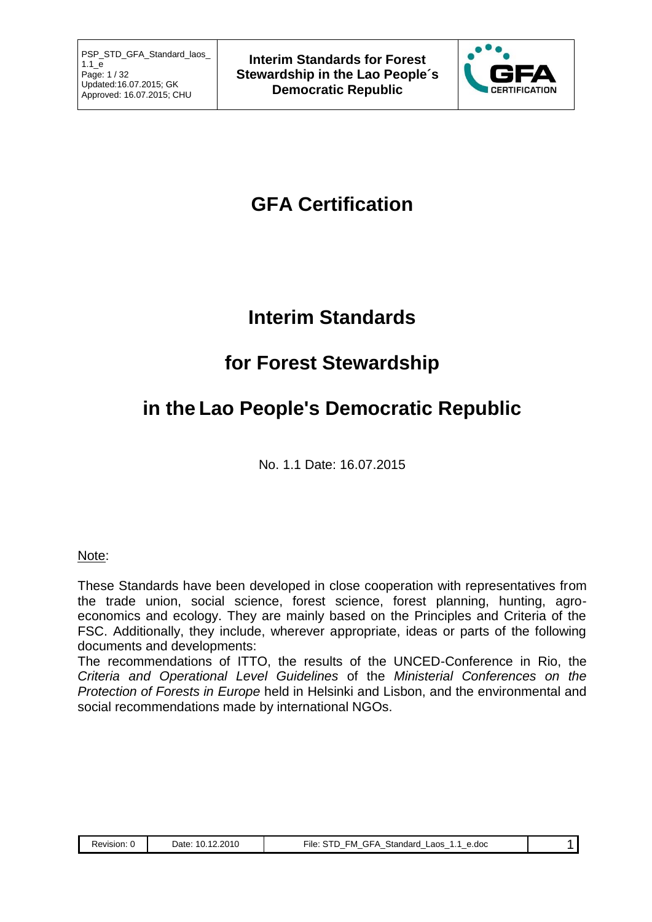

# **GFA Certification**

# **Interim Standards**

# **for Forest Stewardship**

# **in the Lao People's Democratic Republic**

No. 1.1 Date: 16.07.2015

## Note:

These Standards have been developed in close cooperation with representatives from the trade union, social science, forest science, forest planning, hunting, agroeconomics and ecology. They are mainly based on the Principles and Criteria of the FSC. Additionally, they include, wherever appropriate, ideas or parts of the following documents and developments:

The recommendations of ITTO, the results of the UNCED-Conference in Rio, the *Criteria and Operational Level Guidelines* of the *Ministerial Conferences on the Protection of Forests in Europe* held in Helsinki and Lisbon, and the environmental and social recommendations made by international NGOs.

|  | Revision. | 2010<br>$\overline{a}$<br>Date<br>$\overline{\phantom{a}}$<br>$- - -$ | $- \cdot \cdot$<br>Standard<br>e.doc<br>∟aos<br>-ile<br>úi⊢A<br>∼M<br>. ப<br>. .<br>$\overline{\phantom{a}}$<br>$\overline{\phantom{a}}$<br>$\overline{\phantom{a}}$<br>$\overline{\phantom{a}}$<br>$\overline{\phantom{a}}$<br>$\overline{\phantom{a}}$ |  |
|--|-----------|-----------------------------------------------------------------------|----------------------------------------------------------------------------------------------------------------------------------------------------------------------------------------------------------------------------------------------------------|--|
|--|-----------|-----------------------------------------------------------------------|----------------------------------------------------------------------------------------------------------------------------------------------------------------------------------------------------------------------------------------------------------|--|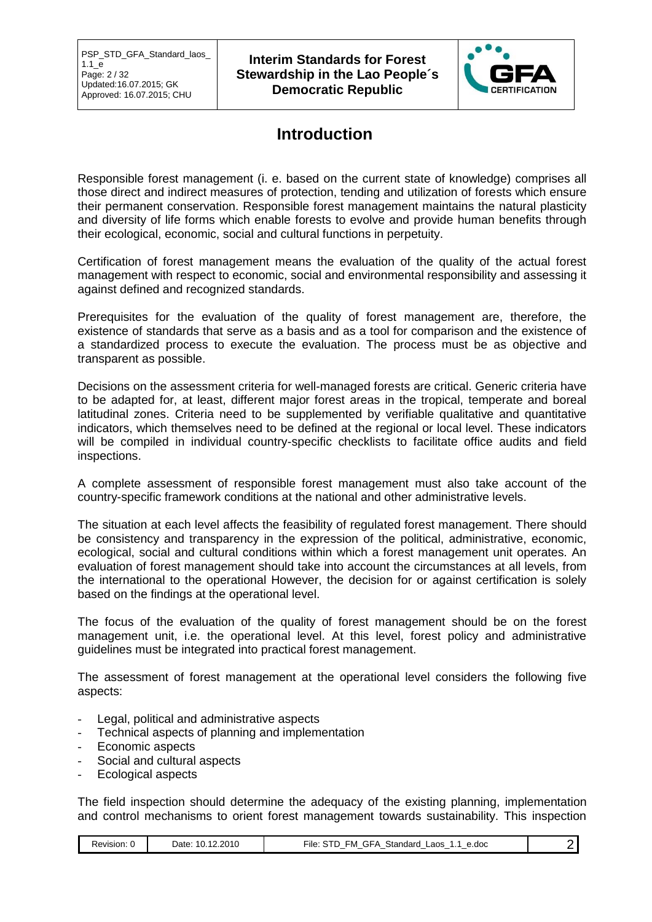

# **Introduction**

Responsible forest management (i. e. based on the current state of knowledge) comprises all those direct and indirect measures of protection, tending and utilization of forests which ensure their permanent conservation. Responsible forest management maintains the natural plasticity and diversity of life forms which enable forests to evolve and provide human benefits through their ecological, economic, social and cultural functions in perpetuity.

Certification of forest management means the evaluation of the quality of the actual forest management with respect to economic, social and environmental responsibility and assessing it against defined and recognized standards.

Prerequisites for the evaluation of the quality of forest management are, therefore, the existence of standards that serve as a basis and as a tool for comparison and the existence of a standardized process to execute the evaluation. The process must be as objective and transparent as possible.

Decisions on the assessment criteria for well-managed forests are critical. Generic criteria have to be adapted for, at least, different major forest areas in the tropical, temperate and boreal latitudinal zones. Criteria need to be supplemented by verifiable qualitative and quantitative indicators, which themselves need to be defined at the regional or local level. These indicators will be compiled in individual country-specific checklists to facilitate office audits and field inspections.

A complete assessment of responsible forest management must also take account of the country-specific framework conditions at the national and other administrative levels.

The situation at each level affects the feasibility of regulated forest management. There should be consistency and transparency in the expression of the political, administrative, economic, ecological, social and cultural conditions within which a forest management unit operates. An evaluation of forest management should take into account the circumstances at all levels, from the international to the operational However, the decision for or against certification is solely based on the findings at the operational level.

The focus of the evaluation of the quality of forest management should be on the forest management unit, i.e. the operational level. At this level, forest policy and administrative guidelines must be integrated into practical forest management.

The assessment of forest management at the operational level considers the following five aspects:

- Legal, political and administrative aspects
- Technical aspects of planning and implementation
- Economic aspects
- Social and cultural aspects
- Ecological aspects

The field inspection should determine the adequacy of the existing planning, implementation and control mechanisms to orient forest management towards sustainability. This inspection

|  | avision | 2010<br>)ate<br>. | $ -$<br>.doc<br>.aos<br>standar⁄<br>۰M<br>-ile<br>. – 1<br>$\overline{\phantom{a}}$<br>$\overline{\phantom{a}}$<br>$\overline{\phantom{a}}$<br>$\overline{\phantom{a}}$<br>. |  |
|--|---------|-------------------|------------------------------------------------------------------------------------------------------------------------------------------------------------------------------|--|
|--|---------|-------------------|------------------------------------------------------------------------------------------------------------------------------------------------------------------------------|--|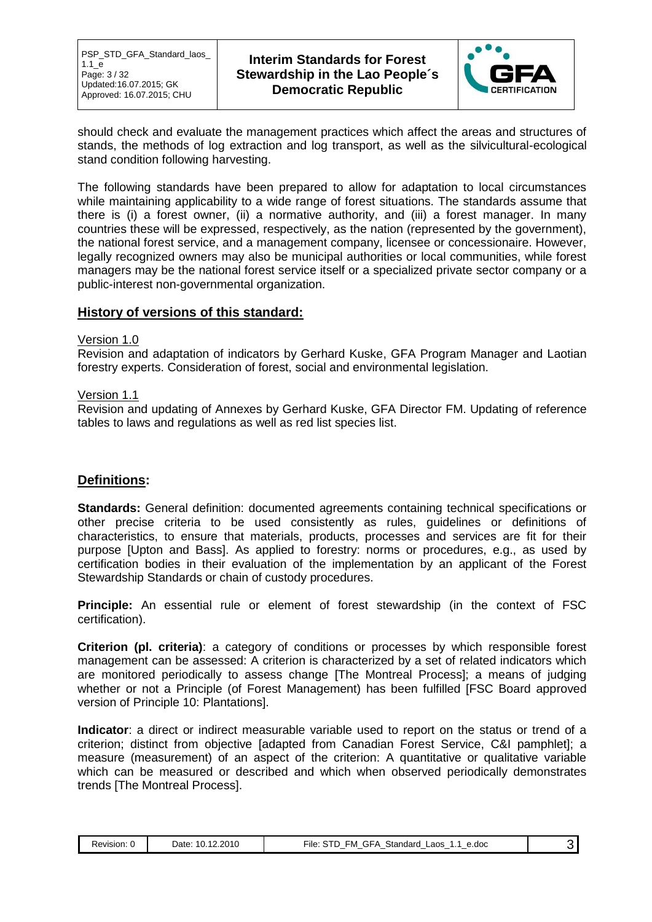

should check and evaluate the management practices which affect the areas and structures of stands, the methods of log extraction and log transport, as well as the silvicultural-ecological stand condition following harvesting.

The following standards have been prepared to allow for adaptation to local circumstances while maintaining applicability to a wide range of forest situations. The standards assume that there is (i) a forest owner, (ii) a normative authority, and (iii) a forest manager. In many countries these will be expressed, respectively, as the nation (represented by the government), the national forest service, and a management company, licensee or concessionaire. However, legally recognized owners may also be municipal authorities or local communities, while forest managers may be the national forest service itself or a specialized private sector company or a public-interest non-governmental organization.

### **History of versions of this standard:**

#### Version 1.0

Revision and adaptation of indicators by Gerhard Kuske, GFA Program Manager and Laotian forestry experts. Consideration of forest, social and environmental legislation.

#### Version 1.1

Revision and updating of Annexes by Gerhard Kuske, GFA Director FM. Updating of reference tables to laws and regulations as well as red list species list.

## **Definitions:**

**Standards:** General definition: documented agreements containing technical specifications or other precise criteria to be used consistently as rules, guidelines or definitions of characteristics, to ensure that materials, products, processes and services are fit for their purpose [Upton and Bass]. As applied to forestry: norms or procedures, e.g., as used by certification bodies in their evaluation of the implementation by an applicant of the Forest Stewardship Standards or chain of custody procedures.

**Principle:** An essential rule or element of forest stewardship (in the context of FSC certification).

**Criterion (pl. criteria)**: a category of conditions or processes by which responsible forest management can be assessed: A criterion is characterized by a set of related indicators which are monitored periodically to assess change [The Montreal Process]; a means of judging whether or not a Principle (of Forest Management) has been fulfilled [FSC Board approved version of Principle 10: Plantations].

**Indicator**: a direct or indirect measurable variable used to report on the status or trend of a criterion; distinct from objective [adapted from Canadian Forest Service, C&I pamphlet]; a measure (measurement) of an aspect of the criterion: A quantitative or qualitative variable which can be measured or described and which when observed periodically demonstrates trends [The Montreal Process].

| Revision. | 12.2010<br>10.<br>Date:<br>. . | GFA<br>™ile:<br>Standard<br>STD<br>FM.<br>e.doc<br>.aos<br>-<br>- |  |  |
|-----------|--------------------------------|-------------------------------------------------------------------|--|--|
|-----------|--------------------------------|-------------------------------------------------------------------|--|--|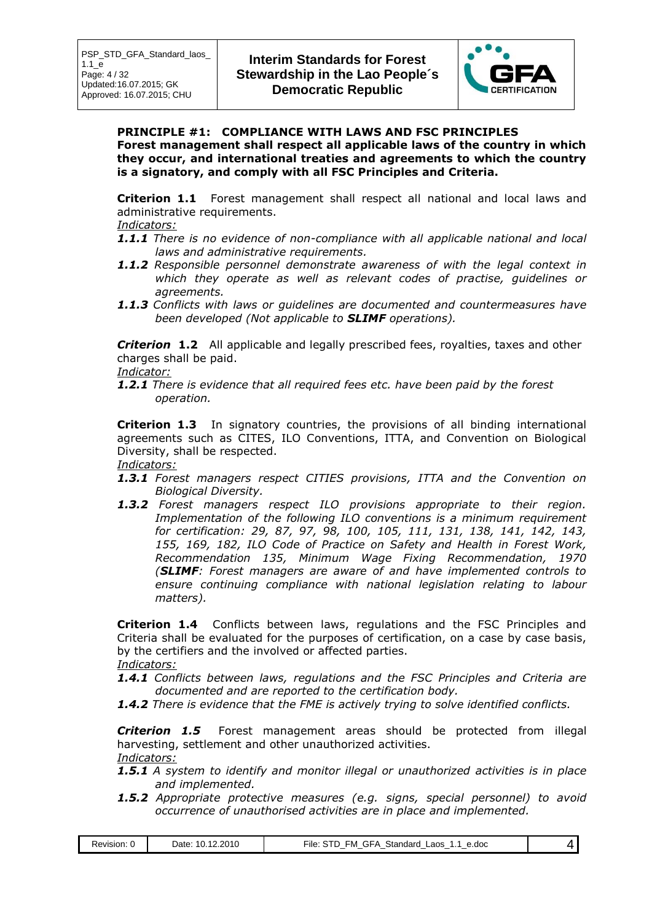

#### **PRINCIPLE #1: COMPLIANCE WITH LAWS AND FSC PRINCIPLES Forest management shall respect all applicable laws of the country in which they occur, and international treaties and agreements to which the country is a signatory, and comply with all FSC Principles and Criteria.**

**Criterion 1.1** Forest management shall respect all national and local laws and administrative requirements.

#### *Indicators:*

- *1.1.1 There is no evidence of non-compliance with all applicable national and local laws and administrative requirements.*
- *1.1.2 Responsible personnel demonstrate awareness of with the legal context in which they operate as well as relevant codes of practise, guidelines or agreements.*
- *1.1.3 Conflicts with laws or guidelines are documented and countermeasures have been developed (Not applicable to SLIMF operations).*

**Criterion 1.2** All applicable and legally prescribed fees, royalties, taxes and other charges shall be paid.

#### *Indicator:*

*1.2.1 There is evidence that all required fees etc. have been paid by the forest operation.*

**Criterion 1.3** In signatory countries, the provisions of all binding international agreements such as CITES, ILO Conventions, ITTA, and Convention on Biological Diversity, shall be respected. *Indicators:*

- *1.3.1 Forest managers respect CITIES provisions, ITTA and the Convention on Biological Diversity.*
- *1.3.2 Forest managers respect ILO provisions appropriate to their region. Implementation of the following ILO conventions is a minimum requirement for certification: 29, 87, 97, 98, 100, 105, 111, 131, 138, 141, 142, 143, 155, 169, 182, ILO Code of Practice on Safety and Health in Forest Work, Recommendation 135, Minimum Wage Fixing Recommendation, 1970 (SLIMF: Forest managers are aware of and have implemented controls to ensure continuing compliance with national legislation relating to labour matters).*

**Criterion 1.4** Conflicts between laws, regulations and the FSC Principles and Criteria shall be evaluated for the purposes of certification, on a case by case basis, by the certifiers and the involved or affected parties.

*Indicators:*

- *1.4.1 Conflicts between laws, regulations and the FSC Principles and Criteria are documented and are reported to the certification body.*
- *1.4.2 There is evidence that the FME is actively trying to solve identified conflicts.*

**Criterion 1.5** Forest management areas should be protected from illegal harvesting, settlement and other unauthorized activities. *Indicators:*

- *1.5.1 A system to identify and monitor illegal or unauthorized activities is in place and implemented.*
- *1.5.2 Appropriate protective measures (e.g. signs, special personnel) to avoid occurrence of unauthorised activities are in place and implemented.*

| $\sim$ $-$<br>12.2010<br>$\overline{A}$<br>Standard<br>GFA<br>e.doc<br>Date:<br>∟aos<br>$\sim$<br>Revision:<br>-ıle.<br>FМ<br>u.<br>$\sim$<br>$\overline{\phantom{a}}$<br>$\overline{\phantom{a}}$<br>$\overline{\phantom{a}}$<br>$\overline{\phantom{a}}$<br>$\overline{\phantom{a}}$<br>$\overline{\phantom{a}}$ |  |
|--------------------------------------------------------------------------------------------------------------------------------------------------------------------------------------------------------------------------------------------------------------------------------------------------------------------|--|
|--------------------------------------------------------------------------------------------------------------------------------------------------------------------------------------------------------------------------------------------------------------------------------------------------------------------|--|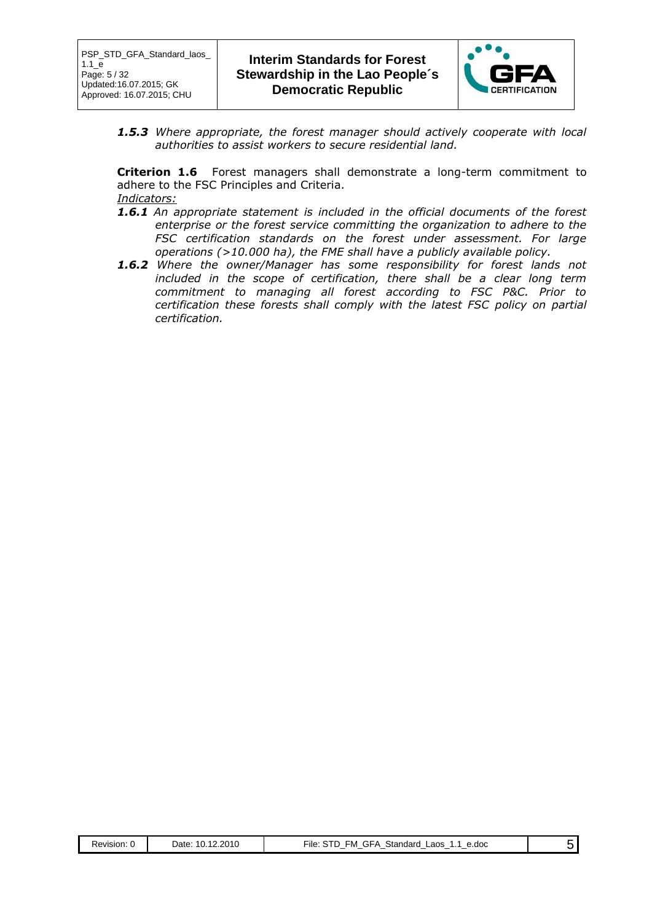

*1.5.3 Where appropriate, the forest manager should actively cooperate with local authorities to assist workers to secure residential land.*

**Criterion 1.6** Forest managers shall demonstrate a long-term commitment to adhere to the FSC Principles and Criteria. *Indicators:*

- *1.6.1 An appropriate statement is included in the official documents of the forest enterprise or the forest service committing the organization to adhere to the FSC certification standards on the forest under assessment. For large operations (>10.000 ha), the FME shall have a publicly available policy.*
- *1.6.2 Where the owner/Manager has some responsibility for forest lands not included in the scope of certification, there shall be a clear long term commitment to managing all forest according to FSC P&C. Prior to certification these forests shall comply with the latest FSC policy on partial certification.*

| Revision:<br>$\cdot$ | 10.12.2010<br>⊃ate: | ≂ile.<br>Standard<br>-M<br>_aos<br>e.doc<br>.-i⊢A<br>_ |  |
|----------------------|---------------------|--------------------------------------------------------|--|
|----------------------|---------------------|--------------------------------------------------------|--|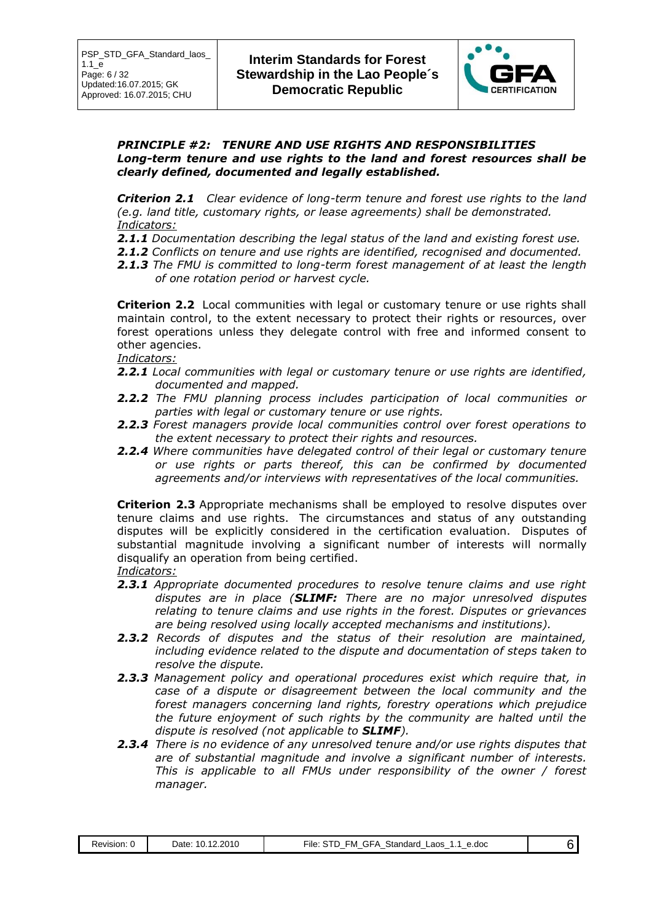

#### *PRINCIPLE #2: TENURE AND USE RIGHTS AND RESPONSIBILITIES Long-term tenure and use rights to the land and forest resources shall be clearly defined, documented and legally established.*

*Criterion 2.1 Clear evidence of long-term tenure and forest use rights to the land (e.g. land title, customary rights, or lease agreements) shall be demonstrated. Indicators:*

- *2.1.1 Documentation describing the legal status of the land and existing forest use.*
- *2.1.2 Conflicts on tenure and use rights are identified, recognised and documented.*
- *2.1.3 The FMU is committed to long-term forest management of at least the length of one rotation period or harvest cycle.*

**Criterion 2.2** Local communities with legal or customary tenure or use rights shall maintain control, to the extent necessary to protect their rights or resources, over forest operations unless they delegate control with free and informed consent to other agencies.

#### *Indicators:*

- *2.2.1 Local communities with legal or customary tenure or use rights are identified, documented and mapped.*
- *2.2.2 The FMU planning process includes participation of local communities or parties with legal or customary tenure or use rights.*
- *2.2.3 Forest managers provide local communities control over forest operations to the extent necessary to protect their rights and resources.*
- *2.2.4 Where communities have delegated control of their legal or customary tenure or use rights or parts thereof, this can be confirmed by documented agreements and/or interviews with representatives of the local communities.*

**Criterion 2.3** Appropriate mechanisms shall be employed to resolve disputes over tenure claims and use rights. The circumstances and status of any outstanding disputes will be explicitly considered in the certification evaluation. Disputes of substantial magnitude involving a significant number of interests will normally disqualify an operation from being certified. *Indicators:*

- *2.3.1 Appropriate documented procedures to resolve tenure claims and use right disputes are in place (SLIMF: There are no major unresolved disputes relating to tenure claims and use rights in the forest. Disputes or grievances are being resolved using locally accepted mechanisms and institutions).*
- *2.3.2 Records of disputes and the status of their resolution are maintained, including evidence related to the dispute and documentation of steps taken to resolve the dispute.*
- *2.3.3 Management policy and operational procedures exist which require that, in case of a dispute or disagreement between the local community and the forest managers concerning land rights, forestry operations which prejudice the future enjoyment of such rights by the community are halted until the dispute is resolved (not applicable to SLIMF).*
- *2.3.4 There is no evidence of any unresolved tenure and/or use rights disputes that are of substantial magnitude and involve a significant number of interests. This is applicable to all FMUs under responsibility of the owner / forest manager.*

| sior<br><b>או</b> ג<br>. | ∍ הר<br>Jate<br>U<br>ιч. | .doc<br>---<br>Sile.<br>-aos<br>- M<br>S⊺andar<br><br>$\overline{\phantom{a}}$<br>$\sim$<br>$\overline{\phantom{a}}$<br>$\sim$<br>$\overline{\phantom{a}}$<br>_ |  |
|--------------------------|--------------------------|-----------------------------------------------------------------------------------------------------------------------------------------------------------------|--|
|                          |                          |                                                                                                                                                                 |  |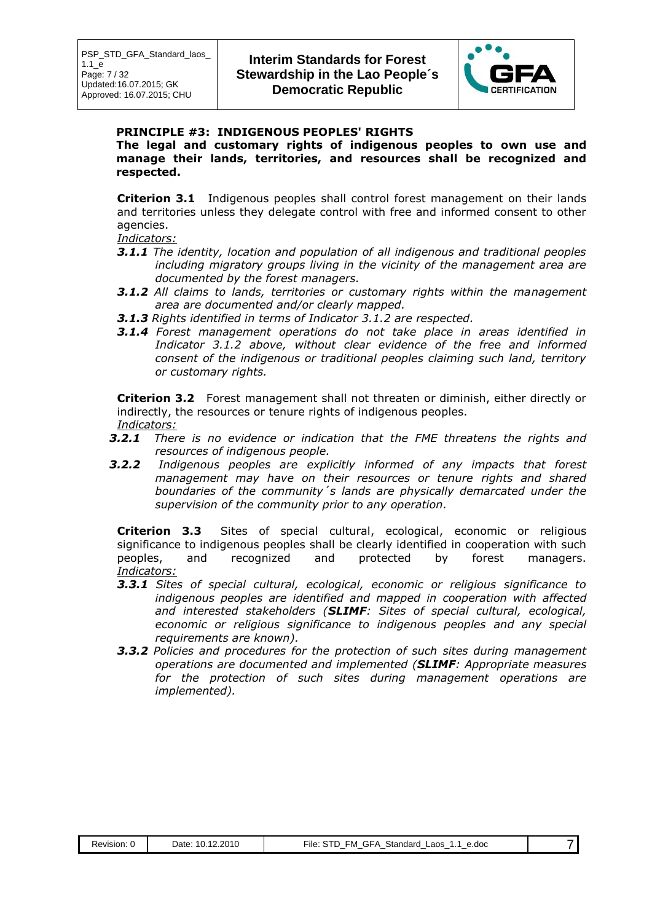

#### **PRINCIPLE #3: INDIGENOUS PEOPLES' RIGHTS**

**The legal and customary rights of indigenous peoples to own use and manage their lands, territories, and resources shall be recognized and respected.**

**Criterion 3.1** Indigenous peoples shall control forest management on their lands and territories unless they delegate control with free and informed consent to other agencies.

#### *Indicators:*

- *3.1.1 The identity, location and population of all indigenous and traditional peoples including migratory groups living in the vicinity of the management area are documented by the forest managers.*
- *3.1.2 All claims to lands, territories or customary rights within the management area are documented and/or clearly mapped.*
- *3.1.3 Rights identified in terms of Indicator 3.1.2 are respected.*
- *3.1.4 Forest management operations do not take place in areas identified in Indicator 3.1.2 above, without clear evidence of the free and informed consent of the indigenous or traditional peoples claiming such land, territory or customary rights.*

**Criterion 3.2** Forest management shall not threaten or diminish, either directly or indirectly, the resources or tenure rights of indigenous peoples. *Indicators:*

- *3.2.1 There is no evidence or indication that the FME threatens the rights and resources of indigenous people.*
- *3.2.2 Indigenous peoples are explicitly informed of any impacts that forest management may have on their resources or tenure rights and shared boundaries of the community´s lands are physically demarcated under the supervision of the community prior to any operation.*

**Criterion 3.3** Sites of special cultural, ecological, economic or religious significance to indigenous peoples shall be clearly identified in cooperation with such peoples, and recognized and protected by forest managers. *Indicators:*

- *3.3.1 Sites of special cultural, ecological, economic or religious significance to indigenous peoples are identified and mapped in cooperation with affected and interested stakeholders (SLIMF: Sites of special cultural, ecological, economic or religious significance to indigenous peoples and any special requirements are known).*
- *3.3.2 Policies and procedures for the protection of such sites during management operations are documented and implemented (SLIMF: Appropriate measures for the protection of such sites during management operations are implemented).*

| Revision: | 2010<br>Date: | File:<br>Standard<br>GFA<br>∟aos<br>e.doc<br>гM<br>$\cdot$ . 1<br>. . |  |
|-----------|---------------|-----------------------------------------------------------------------|--|
|           |               |                                                                       |  |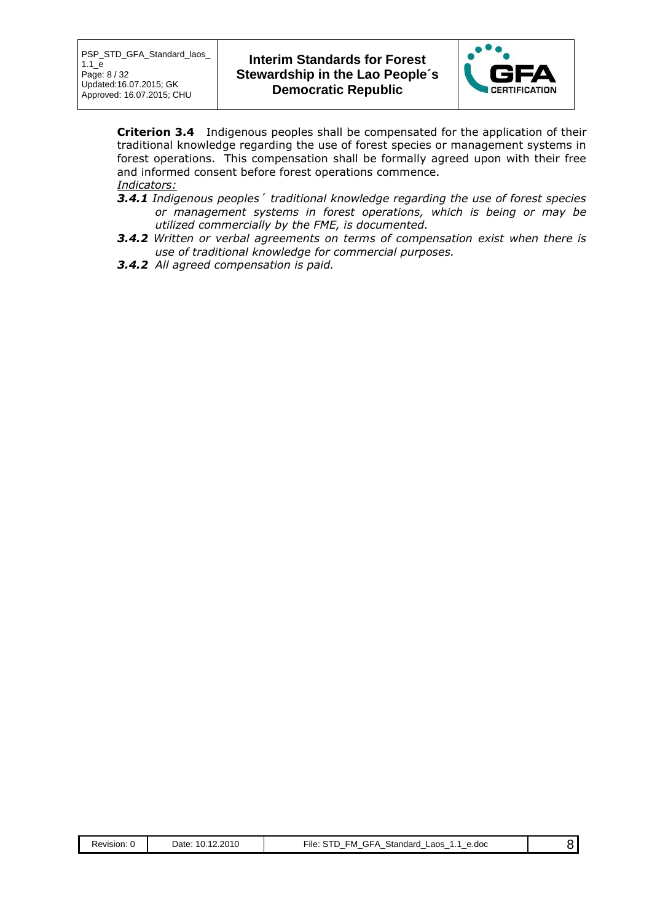

**Criterion 3.4** Indigenous peoples shall be compensated for the application of their traditional knowledge regarding the use of forest species or management systems in forest operations. This compensation shall be formally agreed upon with their free and informed consent before forest operations commence.

### *Indicators:*

- *3.4.1 Indigenous peoples´ traditional knowledge regarding the use of forest species or management systems in forest operations, which is being or may be utilized commercially by the FME, is documented.*
- *3.4.2 Written or verbal agreements on terms of compensation exist when there is use of traditional knowledge for commercial purposes.*
- *3.4.2 All agreed compensation is paid.*

| Revision: 0 | Date: 10.12.2010 | File: STD FM GFA Standard Laos<br>1.1 e.doc |  |
|-------------|------------------|---------------------------------------------|--|
|-------------|------------------|---------------------------------------------|--|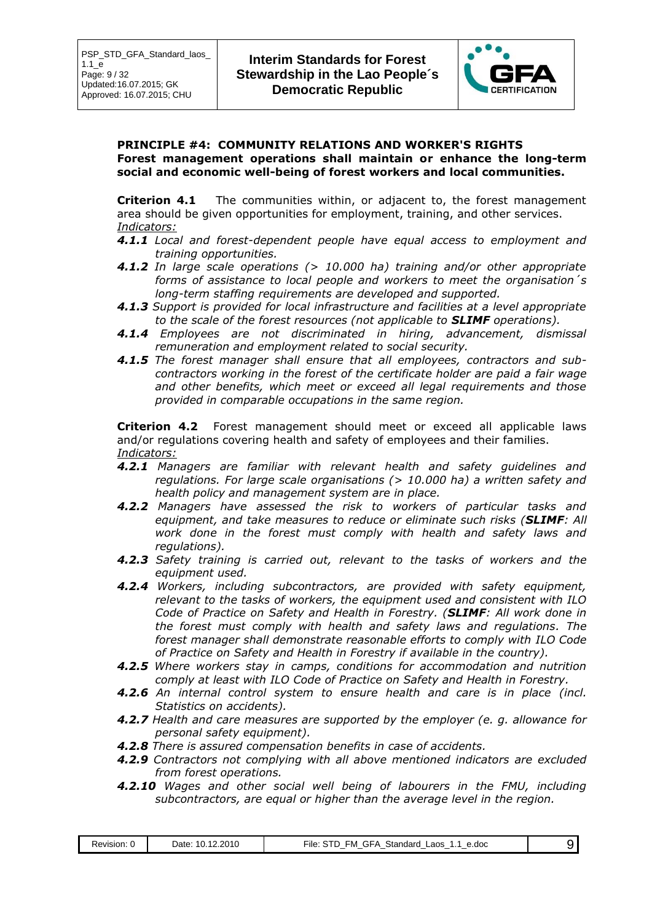

#### **PRINCIPLE #4: COMMUNITY RELATIONS AND WORKER'S RIGHTS Forest management operations shall maintain or enhance the long-term social and economic well-being of forest workers and local communities.**

**Criterion 4.1** The communities within, or adjacent to, the forest management area should be given opportunities for employment, training, and other services. *Indicators:*

- *4.1.1 Local and forest-dependent people have equal access to employment and training opportunities.*
- *4.1.2 In large scale operations (> 10.000 ha) training and/or other appropriate forms of assistance to local people and workers to meet the organisation´s long-term staffing requirements are developed and supported.*
- *4.1.3 Support is provided for local infrastructure and facilities at a level appropriate to the scale of the forest resources (not applicable to SLIMF operations).*
- *4.1.4 Employees are not discriminated in hiring, advancement, dismissal remuneration and employment related to social security.*
- *4.1.5 The forest manager shall ensure that all employees, contractors and subcontractors working in the forest of the certificate holder are paid a fair wage and other benefits, which meet or exceed all legal requirements and those provided in comparable occupations in the same region.*

**Criterion 4.2** Forest management should meet or exceed all applicable laws and/or regulations covering health and safety of employees and their families. *Indicators:*

- *4.2.1 Managers are familiar with relevant health and safety guidelines and regulations. For large scale organisations (> 10.000 ha) a written safety and health policy and management system are in place.*
- *4.2.2 Managers have assessed the risk to workers of particular tasks and equipment, and take measures to reduce or eliminate such risks (SLIMF: All work done in the forest must comply with health and safety laws and regulations).*
- *4.2.3 Safety training is carried out, relevant to the tasks of workers and the equipment used.*
- *4.2.4 Workers, including subcontractors, are provided with safety equipment, relevant to the tasks of workers, the equipment used and consistent with ILO Code of Practice on Safety and Health in Forestry. (SLIMF: All work done in the forest must comply with health and safety laws and regulations. The forest manager shall demonstrate reasonable efforts to comply with ILO Code of Practice on Safety and Health in Forestry if available in the country).*
- *4.2.5 Where workers stay in camps, conditions for accommodation and nutrition comply at least with ILO Code of Practice on Safety and Health in Forestry.*
- *4.2.6 An internal control system to ensure health and care is in place (incl. Statistics on accidents).*
- *4.2.7 Health and care measures are supported by the employer (e. g. allowance for personal safety equipment).*
- *4.2.8 There is assured compensation benefits in case of accidents.*
- *4.2.9 Contractors not complying with all above mentioned indicators are excluded from forest operations.*
- *4.2.10 Wages and other social well being of labourers in the FMU, including subcontractors, are equal or higher than the average level in the region.*

| Revision: | .12.2010<br>Date: 10.1 | <b>GFA</b><br>Standard<br>FM.<br>5TD<br>∟aos<br>File∶<br>1.1<br>e.doc<br>-<br>- |  |  |
|-----------|------------------------|---------------------------------------------------------------------------------|--|--|
|-----------|------------------------|---------------------------------------------------------------------------------|--|--|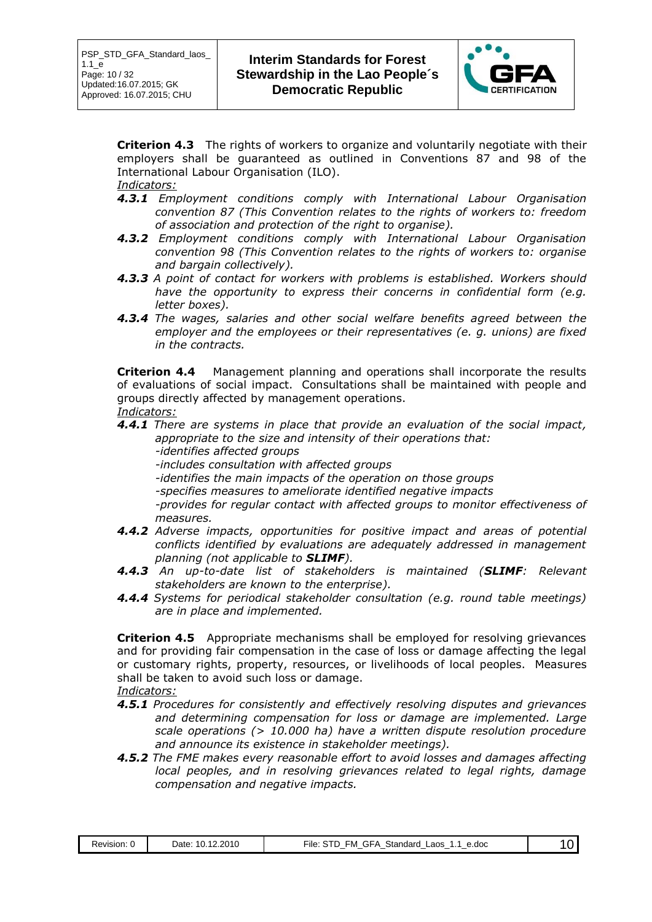

**Criterion 4.3** The rights of workers to organize and voluntarily negotiate with their employers shall be guaranteed as outlined in Conventions 87 and 98 of the International Labour Organisation (ILO).

*Indicators:*

- *4.3.1 Employment conditions comply with International Labour Organisation convention 87 (This Convention relates to the rights of workers to: freedom of association and protection of the right to organise).*
- *4.3.2 Employment conditions comply with International Labour Organisation convention 98 (This Convention relates to the rights of workers to: organise and bargain collectively).*
- *4.3.3 A point of contact for workers with problems is established. Workers should have the opportunity to express their concerns in confidential form (e.g. letter boxes).*
- *4.3.4 The wages, salaries and other social welfare benefits agreed between the employer and the employees or their representatives (e. g. unions) are fixed in the contracts.*

**Criterion 4.4** Management planning and operations shall incorporate the results of evaluations of social impact. Consultations shall be maintained with people and groups directly affected by management operations. *Indicators:*

- *4.4.1 There are systems in place that provide an evaluation of the social impact, appropriate to the size and intensity of their operations that:*
	- *-identifies affected groups*
	- *-includes consultation with affected groups*
	- *-identifies the main impacts of the operation on those groups*
	- *-specifies measures to ameliorate identified negative impacts*

*-provides for regular contact with affected groups to monitor effectiveness of measures.*

- *4.4.2 Adverse impacts, opportunities for positive impact and areas of potential conflicts identified by evaluations are adequately addressed in management planning (not applicable to SLIMF).*
- *4.4.3 An up-to-date list of stakeholders is maintained (SLIMF: Relevant stakeholders are known to the enterprise).*
- *4.4.4 Systems for periodical stakeholder consultation (e.g. round table meetings) are in place and implemented.*

**Criterion 4.5** Appropriate mechanisms shall be employed for resolving grievances and for providing fair compensation in the case of loss or damage affecting the legal or customary rights, property, resources, or livelihoods of local peoples. Measures shall be taken to avoid such loss or damage.

*Indicators:*

- *4.5.1 Procedures for consistently and effectively resolving disputes and grievances and determining compensation for loss or damage are implemented. Large scale operations (> 10.000 ha) have a written dispute resolution procedure and announce its existence in stakeholder meetings).*
- *4.5.2 The FME makes every reasonable effort to avoid losses and damages affecting local peoples, and in resolving grievances related to legal rights, damage compensation and negative impacts.*

| 12.2010<br>Standard<br>$\overline{ }$<br>-M<br>e.doc<br>Date<br>_aos<br>Revision:<br>-ıle<br>⊣د.<br>.<br>. .<br>$\overline{\phantom{a}}$<br>$\overline{\phantom{a}}$<br>$\overline{\phantom{a}}$<br>$\sim$<br>-<br>_ |  |
|----------------------------------------------------------------------------------------------------------------------------------------------------------------------------------------------------------------------|--|
|----------------------------------------------------------------------------------------------------------------------------------------------------------------------------------------------------------------------|--|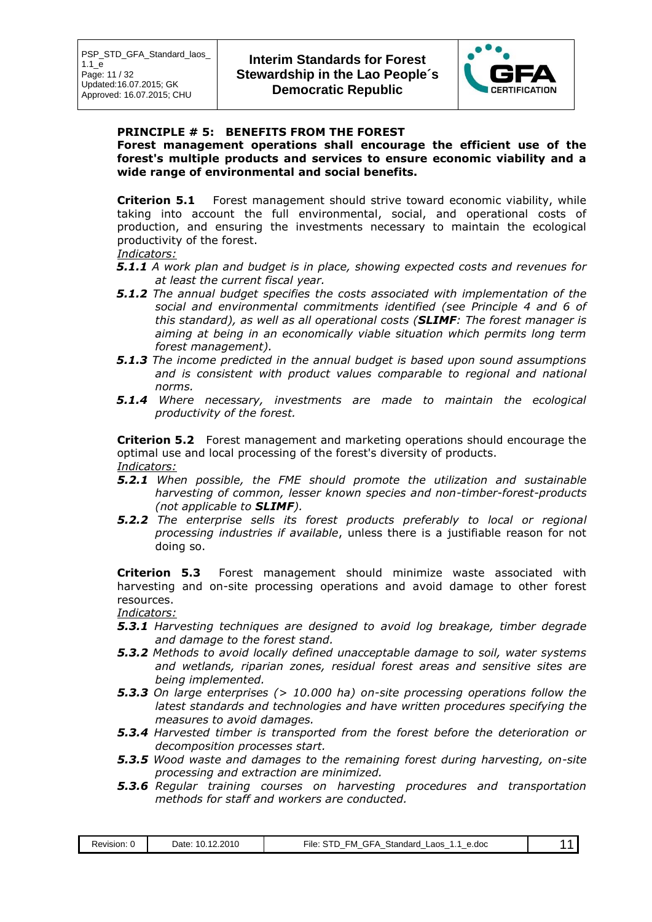

### **PRINCIPLE # 5: BENEFITS FROM THE FOREST**

**Forest management operations shall encourage the efficient use of the forest's multiple products and services to ensure economic viability and a wide range of environmental and social benefits.**

**Criterion 5.1** Forest management should strive toward economic viability, while taking into account the full environmental, social, and operational costs of production, and ensuring the investments necessary to maintain the ecological productivity of the forest.

#### *Indicators:*

- *5.1.1 A work plan and budget is in place, showing expected costs and revenues for at least the current fiscal year.*
- *5.1.2 The annual budget specifies the costs associated with implementation of the social and environmental commitments identified (see Principle 4 and 6 of this standard), as well as all operational costs (SLIMF: The forest manager is aiming at being in an economically viable situation which permits long term forest management).*
- *5.1.3 The income predicted in the annual budget is based upon sound assumptions and is consistent with product values comparable to regional and national norms.*
- *5.1.4 Where necessary, investments are made to maintain the ecological productivity of the forest.*

**Criterion 5.2** Forest management and marketing operations should encourage the optimal use and local processing of the forest's diversity of products. *Indicators:*

- *5.2.1 When possible, the FME should promote the utilization and sustainable harvesting of common, lesser known species and non-timber-forest-products (not applicable to SLIMF).*
- *5.2.2 The enterprise sells its forest products preferably to local or regional processing industries if available*, unless there is a justifiable reason for not doing so.

**Criterion 5.3** Forest management should minimize waste associated with harvesting and on-site processing operations and avoid damage to other forest resources.

*Indicators:*

- *5.3.1 Harvesting techniques are designed to avoid log breakage, timber degrade and damage to the forest stand.*
- *5.3.2 Methods to avoid locally defined unacceptable damage to soil, water systems and wetlands, riparian zones, residual forest areas and sensitive sites are being implemented.*
- *5.3.3 On large enterprises (> 10.000 ha) on-site processing operations follow the latest standards and technologies and have written procedures specifying the measures to avoid damages.*
- *5.3.4 Harvested timber is transported from the forest before the deterioration or decomposition processes start.*
- *5.3.5 Wood waste and damages to the remaining forest during harvesting, on-site processing and extraction are minimized.*
- *5.3.6 Regular training courses on harvesting procedures and transportation methods for staff and workers are conducted.*

| Revision:<br>. . | 2010<br>12<br>Date<br>$\sim$<br>$\sim$ | . GFA<br>٠M<br>Standard<br>-aos<br>e.doc<br>∙ıle<br>. .<br>. .<br>$\overline{\phantom{a}}$<br>$\overline{\phantom{a}}$<br>$\overline{\phantom{a}}$<br>$\overline{\phantom{a}}$<br>$\overline{\phantom{a}}$<br>$\overline{\phantom{a}}$ | $\mathbf{v}$ |  |
|------------------|----------------------------------------|----------------------------------------------------------------------------------------------------------------------------------------------------------------------------------------------------------------------------------------|--------------|--|
|------------------|----------------------------------------|----------------------------------------------------------------------------------------------------------------------------------------------------------------------------------------------------------------------------------------|--------------|--|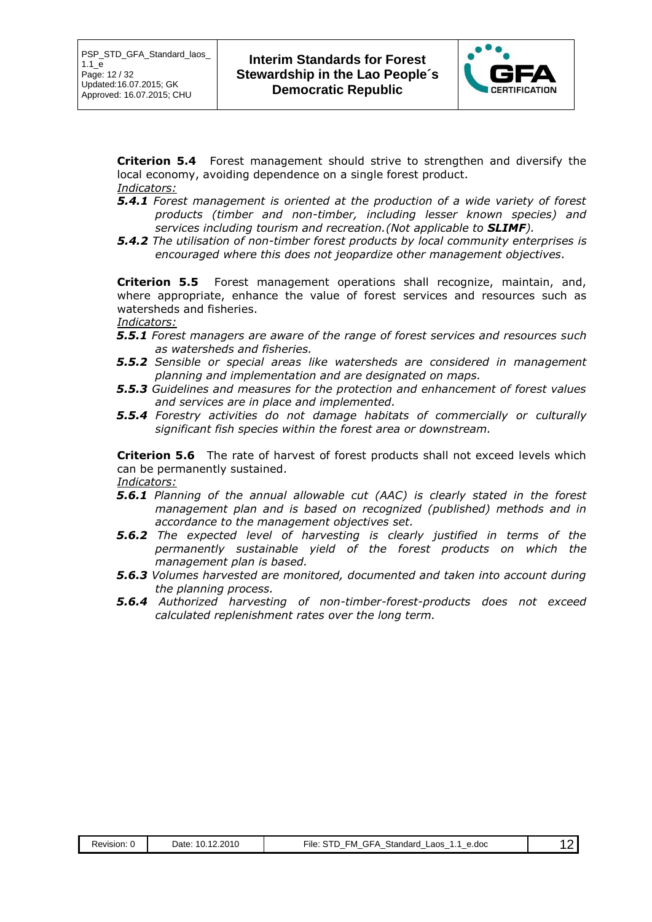

**Criterion 5.4** Forest management should strive to strengthen and diversify the local economy, avoiding dependence on a single forest product. *Indicators:*

- *5.4.1 Forest management is oriented at the production of a wide variety of forest products (timber and non-timber, including lesser known species) and services including tourism and recreation.(Not applicable to SLIMF).*
- *5.4.2 The utilisation of non-timber forest products by local community enterprises is encouraged where this does not jeopardize other management objectives.*

**Criterion 5.5** Forest management operations shall recognize, maintain, and, where appropriate, enhance the value of forest services and resources such as watersheds and fisheries.

#### *Indicators:*

- *5.5.1 Forest managers are aware of the range of forest services and resources such as watersheds and fisheries.*
- *5.5.2 Sensible or special areas like watersheds are considered in management planning and implementation and are designated on maps.*
- *5.5.3 Guidelines and measures for the protection and enhancement of forest values and services are in place and implemented.*
- *5.5.4 Forestry activities do not damage habitats of commercially or culturally significant fish species within the forest area or downstream.*

**Criterion 5.6** The rate of harvest of forest products shall not exceed levels which can be permanently sustained. *Indicators:*

- *5.6.1 Planning of the annual allowable cut (AAC) is clearly stated in the forest management plan and is based on recognized (published) methods and in accordance to the management objectives set.*
- *5.6.2 The expected level of harvesting is clearly justified in terms of the permanently sustainable yield of the forest products on which the management plan is based.*
- *5.6.3 Volumes harvested are monitored, documented and taken into account during the planning process.*
- *5.6.4 Authorized harvesting of non-timber-forest-products does not exceed calculated replenishment rates over the long term.*

| Revision: | 10.12.2010<br>Date: | GFA<br><sup>⊏</sup> ile:<br>Standard<br>FM.<br>Laos<br>e.doc<br>٠.<br>$\overline{\phantom{a}}$ |  |
|-----------|---------------------|------------------------------------------------------------------------------------------------|--|
|           |                     |                                                                                                |  |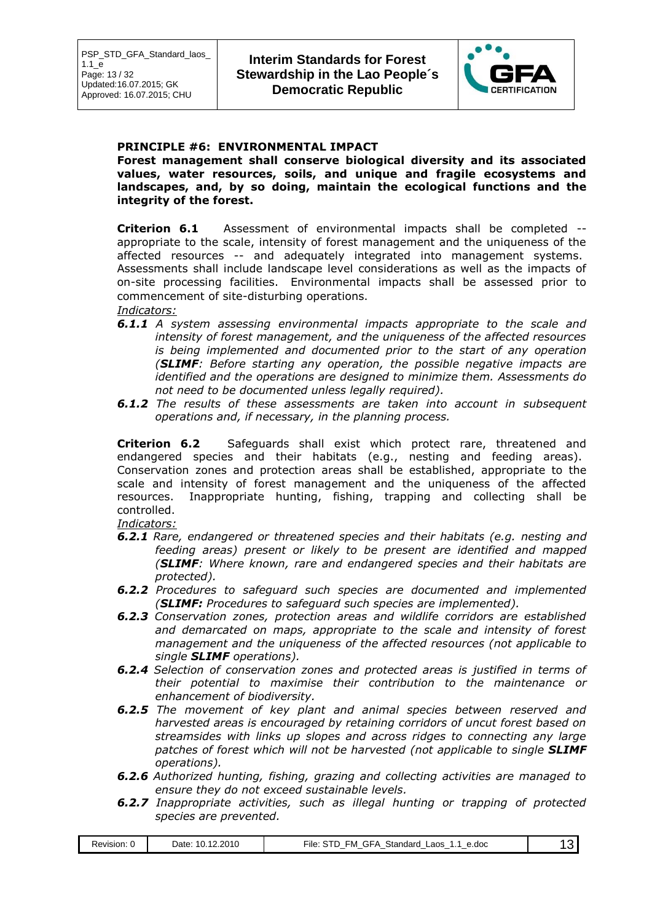

#### **PRINCIPLE #6: ENVIRONMENTAL IMPACT**

**Forest management shall conserve biological diversity and its associated values, water resources, soils, and unique and fragile ecosystems and landscapes, and, by so doing, maintain the ecological functions and the integrity of the forest.**

**Criterion 6.1** Assessment of environmental impacts shall be completed - appropriate to the scale, intensity of forest management and the uniqueness of the affected resources -- and adequately integrated into management systems. Assessments shall include landscape level considerations as well as the impacts of on-site processing facilities. Environmental impacts shall be assessed prior to commencement of site-disturbing operations.

#### *Indicators:*

- *6.1.1 A system assessing environmental impacts appropriate to the scale and intensity of forest management, and the uniqueness of the affected resources is being implemented and documented prior to the start of any operation (SLIMF: Before starting any operation, the possible negative impacts are identified and the operations are designed to minimize them. Assessments do not need to be documented unless legally required).*
- *6.1.2 The results of these assessments are taken into account in subsequent operations and, if necessary, in the planning process.*

**Criterion 6.2** Safeguards shall exist which protect rare, threatened and endangered species and their habitats (e.g., nesting and feeding areas). Conservation zones and protection areas shall be established, appropriate to the scale and intensity of forest management and the uniqueness of the affected resources. Inappropriate hunting, fishing, trapping and collecting shall be controlled.

*Indicators:*

- *6.2.1 Rare, endangered or threatened species and their habitats (e.g. nesting and feeding areas) present or likely to be present are identified and mapped (SLIMF: Where known, rare and endangered species and their habitats are protected).*
- *6.2.2 Procedures to safeguard such species are documented and implemented (SLIMF: Procedures to safeguard such species are implemented).*
- *6.2.3 Conservation zones, protection areas and wildlife corridors are established and demarcated on maps, appropriate to the scale and intensity of forest management and the uniqueness of the affected resources (not applicable to single SLIMF operations).*
- *6.2.4 Selection of conservation zones and protected areas is justified in terms of their potential to maximise their contribution to the maintenance or enhancement of biodiversity.*
- *6.2.5 The movement of key plant and animal species between reserved and harvested areas is encouraged by retaining corridors of uncut forest based on streamsides with links up slopes and across ridges to connecting any large patches of forest which will not be harvested (not applicable to single SLIMF operations).*
- *6.2.6 Authorized hunting, fishing, grazing and collecting activities are managed to ensure they do not exceed sustainable levels.*
- *6.2.7 Inappropriate activities, such as illegal hunting or trapping of protected species are prevented.*

| PVISION. | .2010<br>. .<br>Jate<br>0 | $\sim$ $-$<br>Standard<br>e.doc<br>-aos<br>∹ile<br>- M<br>۱.,<br>$-$<br>$\overline{\phantom{a}}$<br>$\overline{\phantom{a}}$<br>$\overline{\phantom{a}}$<br>$-$<br>. |  |
|----------|---------------------------|----------------------------------------------------------------------------------------------------------------------------------------------------------------------|--|
|          |                           |                                                                                                                                                                      |  |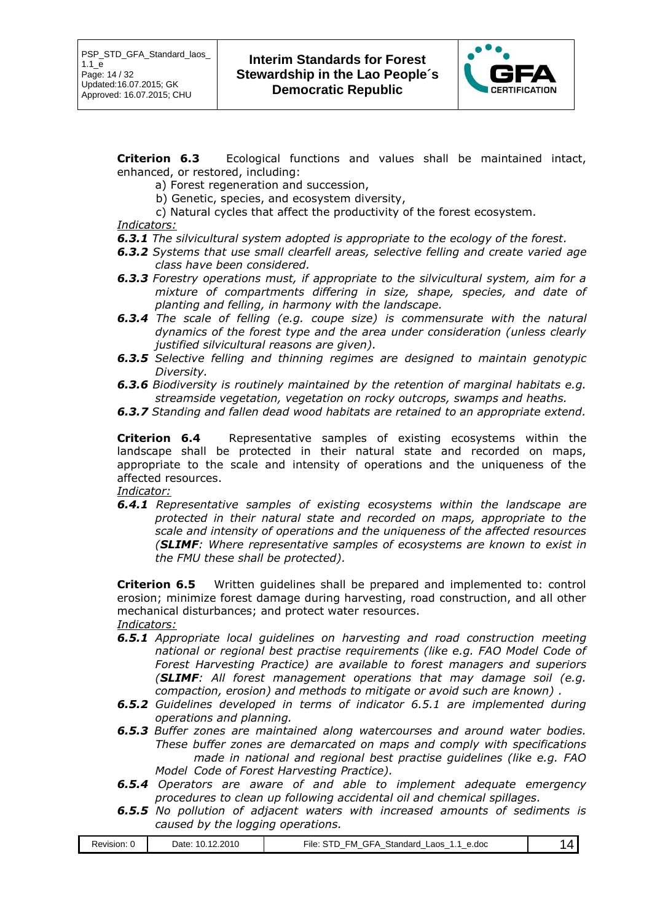

**Criterion 6.3** Ecological functions and values shall be maintained intact, enhanced, or restored, including:

a) Forest regeneration and succession,

b) Genetic, species, and ecosystem diversity,

c) Natural cycles that affect the productivity of the forest ecosystem.

#### *Indicators:*

- *6.3.1 The silvicultural system adopted is appropriate to the ecology of the forest.*
- *6.3.2 Systems that use small clearfell areas, selective felling and create varied age class have been considered.*
- *6.3.3 Forestry operations must, if appropriate to the silvicultural system, aim for a mixture of compartments differing in size, shape, species, and date of planting and felling, in harmony with the landscape.*
- *6.3.4 The scale of felling (e.g. coupe size) is commensurate with the natural dynamics of the forest type and the area under consideration (unless clearly justified silvicultural reasons are given).*
- *6.3.5 Selective felling and thinning regimes are designed to maintain genotypic Diversity.*
- *6.3.6 Biodiversity is routinely maintained by the retention of marginal habitats e.g. streamside vegetation, vegetation on rocky outcrops, swamps and heaths.*
- *6.3.7 Standing and fallen dead wood habitats are retained to an appropriate extend.*

**Criterion 6.4** Representative samples of existing ecosystems within the landscape shall be protected in their natural state and recorded on maps, appropriate to the scale and intensity of operations and the uniqueness of the affected resources.

*Indicator:*

*6.4.1 Representative samples of existing ecosystems within the landscape are protected in their natural state and recorded on maps, appropriate to the scale and intensity of operations and the uniqueness of the affected resources (SLIMF: Where representative samples of ecosystems are known to exist in the FMU these shall be protected).*

**Criterion 6.5** Written guidelines shall be prepared and implemented to: control erosion; minimize forest damage during harvesting, road construction, and all other mechanical disturbances; and protect water resources.

*Indicators:*

- *6.5.1 Appropriate local guidelines on harvesting and road construction meeting national or regional best practise requirements (like e.g. FAO Model Code of Forest Harvesting Practice) are available to forest managers and superiors (SLIMF: All forest management operations that may damage soil (e.g. compaction, erosion) and methods to mitigate or avoid such are known) .*
- *6.5.2 Guidelines developed in terms of indicator 6.5.1 are implemented during operations and planning.*
- *6.5.3 Buffer zones are maintained along watercourses and around water bodies. These buffer zones are demarcated on maps and comply with specifications made in national and regional best practise guidelines (like e.g. FAO Model Code of Forest Harvesting Practice).*
- *6.5.4 Operators are aware of and able to implement adequate emergency procedures to clean up following accidental oil and chemical spillages.*
- *6.5.5 No pollution of adjacent waters with increased amounts of sediments is caused by the logging operations.*

| эг<br>u<br>$-$<br>$\overline{\phantom{a}}$<br>--<br>$\sim$<br>$\overline{\phantom{a}}$<br>$\sim$ | Revision. | 2.2010<br>Date | Stan<br>.<br>e.doc<br>_aos<br>∙ıle<br>чw<br>aaro<br>٠. |  |
|--------------------------------------------------------------------------------------------------|-----------|----------------|--------------------------------------------------------|--|
|--------------------------------------------------------------------------------------------------|-----------|----------------|--------------------------------------------------------|--|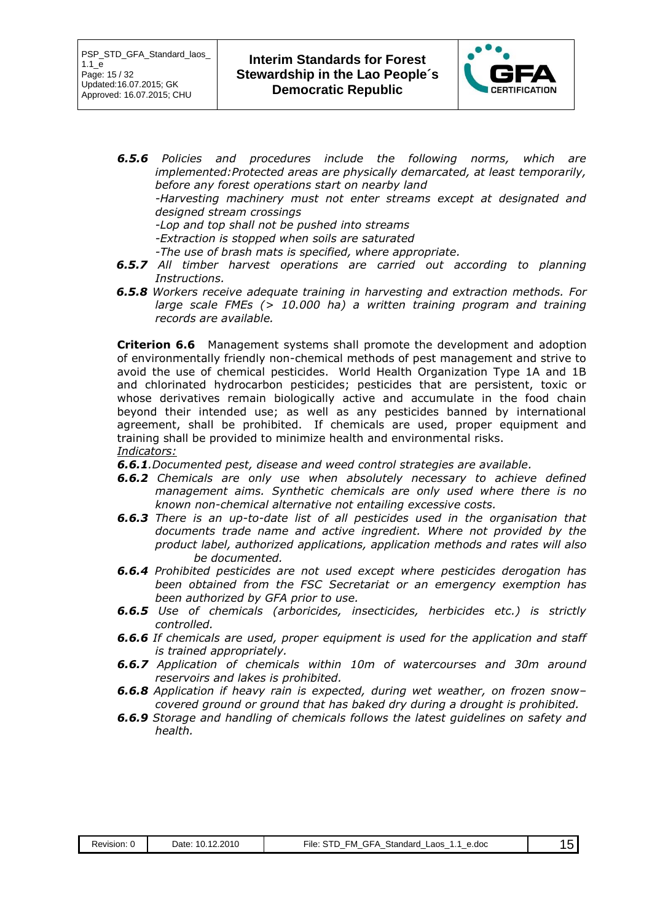

- *6.5.6 Policies and procedures include the following norms, which are implemented:Protected areas are physically demarcated, at least temporarily, before any forest operations start on nearby land -Harvesting machinery must not enter streams except at designated and designed stream crossings* 
	- *-Lop and top shall not be pushed into streams*
	- *-Extraction is stopped when soils are saturated*
	- *-The use of brash mats is specified, where appropriate.*
- *6.5.7 All timber harvest operations are carried out according to planning Instructions.*
- *6.5.8 Workers receive adequate training in harvesting and extraction methods. For large scale FMEs (> 10.000 ha) a written training program and training records are available.*

**Criterion 6.6** Management systems shall promote the development and adoption of environmentally friendly non-chemical methods of pest management and strive to avoid the use of chemical pesticides. World Health Organization Type 1A and 1B and chlorinated hydrocarbon pesticides; pesticides that are persistent, toxic or whose derivatives remain biologically active and accumulate in the food chain beyond their intended use; as well as any pesticides banned by international agreement, shall be prohibited. If chemicals are used, proper equipment and training shall be provided to minimize health and environmental risks. *Indicators:*

- *6.6.1.Documented pest, disease and weed control strategies are available.*
- *6.6.2 Chemicals are only use when absolutely necessary to achieve defined management aims. Synthetic chemicals are only used where there is no known non-chemical alternative not entailing excessive costs.*
- *6.6.3 There is an up-to-date list of all pesticides used in the organisation that documents trade name and active ingredient. Where not provided by the product label, authorized applications, application methods and rates will also be documented.*
- *6.6.4 Prohibited pesticides are not used except where pesticides derogation has been obtained from the FSC Secretariat or an emergency exemption has been authorized by GFA prior to use.*
- *6.6.5 Use of chemicals (arboricides, insecticides, herbicides etc.) is strictly controlled.*
- *6.6.6 If chemicals are used, proper equipment is used for the application and staff is trained appropriately.*
- *6.6.7 Application of chemicals within 10m of watercourses and 30m around reservoirs and lakes is prohibited.*
- *6.6.8 Application if heavy rain is expected, during wet weather, on frozen snow– covered ground or ground that has baked dry during a drought is prohibited.*
- *6.6.9 Storage and handling of chemicals follows the latest guidelines on safety and health.*

| GFA<br>10.12.2010<br>™ile:<br><b>STD</b><br>Standard<br>FM.<br>Laos<br>Revision: C<br>e.doc<br>⊃ate:<br>1.1 |  |
|-------------------------------------------------------------------------------------------------------------|--|
|-------------------------------------------------------------------------------------------------------------|--|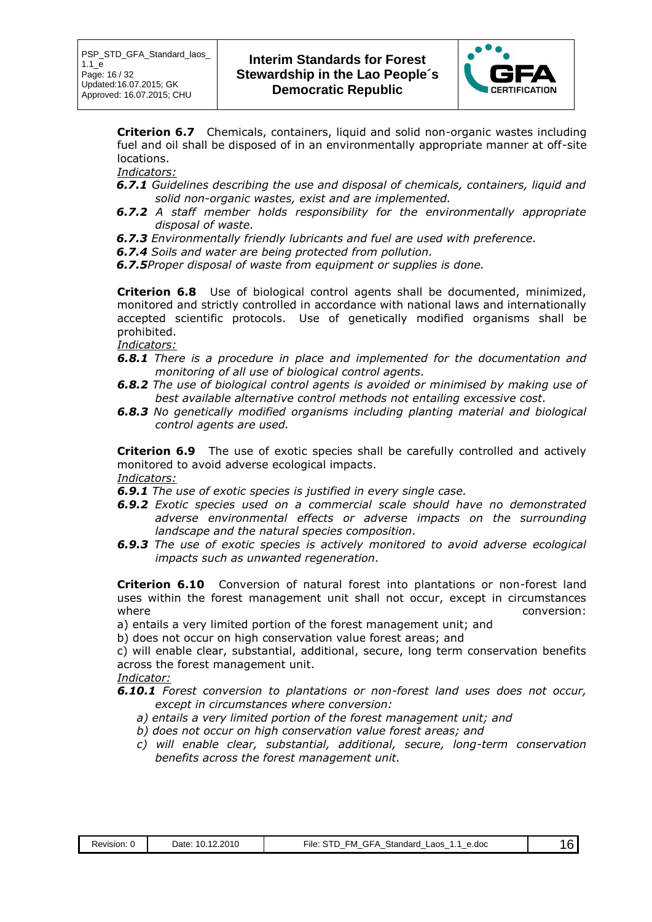

**Criterion 6.7** Chemicals, containers, liquid and solid non-organic wastes including fuel and oil shall be disposed of in an environmentally appropriate manner at off-site locations.

*Indicators:*

- *6.7.1 Guidelines describing the use and disposal of chemicals, containers, liquid and solid non-organic wastes, exist and are implemented.*
- *6.7.2 A staff member holds responsibility for the environmentally appropriate disposal of waste.*
- *6.7.3 Environmentally friendly lubricants and fuel are used with preference.*
- *6.7.4 Soils and water are being protected from pollution.*

*6.7.5Proper disposal of waste from equipment or supplies is done.*

**Criterion 6.8** Use of biological control agents shall be documented, minimized, monitored and strictly controlled in accordance with national laws and internationally accepted scientific protocols. Use of genetically modified organisms shall be prohibited.

*Indicators:*

- *6.8.1 There is a procedure in place and implemented for the documentation and monitoring of all use of biological control agents.*
- *6.8.2 The use of biological control agents is avoided or minimised by making use of best available alternative control methods not entailing excessive cost.*
- *6.8.3 No genetically modified organisms including planting material and biological control agents are used.*

**Criterion 6.9** The use of exotic species shall be carefully controlled and actively monitored to avoid adverse ecological impacts. *Indicators:*

*6.9.1 The use of exotic species is justified in every single case.*

- *6.9.2 Exotic species used on a commercial scale should have no demonstrated adverse environmental effects or adverse impacts on the surrounding landscape and the natural species composition.*
- *6.9.3 The use of exotic species is actively monitored to avoid adverse ecological impacts such as unwanted regeneration.*

**Criterion 6.10** Conversion of natural forest into plantations or non-forest land uses within the forest management unit shall not occur, except in circumstances where  $\blacksquare$ 

a) entails a very limited portion of the forest management unit; and

b) does not occur on high conservation value forest areas; and

c) will enable clear, substantial, additional, secure, long term conservation benefits across the forest management unit.

*Indicator:*

*6.10.1 Forest conversion to plantations or non-forest land uses does not occur, except in circumstances where conversion:*

- *a) entails a very limited portion of the forest management unit; and*
- *b) does not occur on high conservation value forest areas; and*
- *c) will enable clear, substantial, additional, secure, long-term conservation benefits across the forest management unit.*

| Revision:<br>. . | 12.2010<br>$\overline{ }$<br>Date:<br>10. | GFA<br>Standard<br>∙ıle<br>Laos<br>e.doc<br>-M<br>שור | . |
|------------------|-------------------------------------------|-------------------------------------------------------|---|
|                  |                                           |                                                       |   |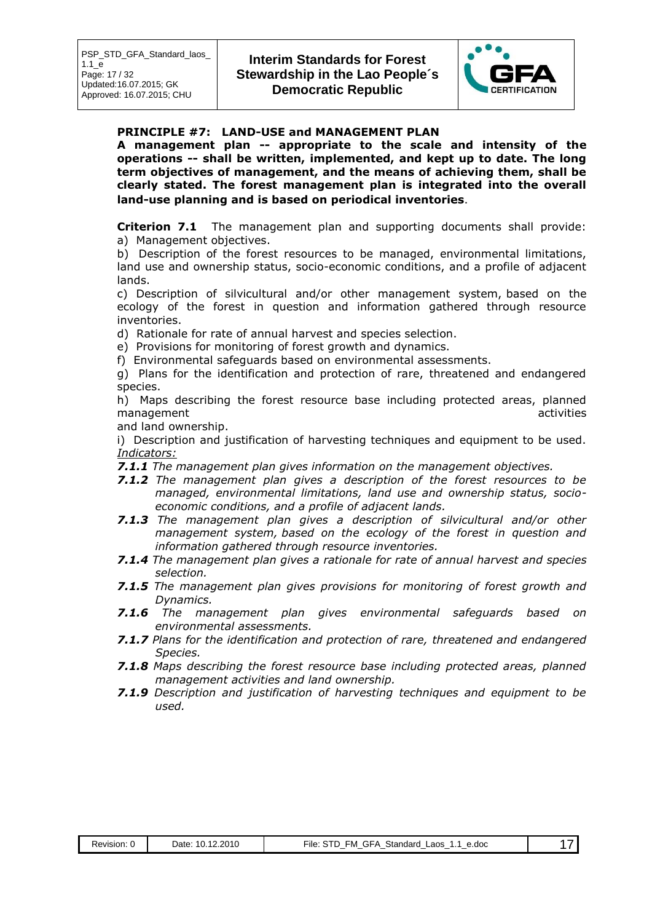

#### **PRINCIPLE #7: LAND-USE and MANAGEMENT PLAN**

**A management plan -- appropriate to the scale and intensity of the operations -- shall be written, implemented, and kept up to date. The long term objectives of management, and the means of achieving them, shall be clearly stated. The forest management plan is integrated into the overall land-use planning and is based on periodical inventories**.

**Criterion 7.1** The management plan and supporting documents shall provide: a) Management objectives.

b) Description of the forest resources to be managed, environmental limitations, land use and ownership status, socio-economic conditions, and a profile of adjacent lands.

c) Description of silvicultural and/or other management system, based on the ecology of the forest in question and information gathered through resource inventories.

d) Rationale for rate of annual harvest and species selection.

e) Provisions for monitoring of forest growth and dynamics.

f) Environmental safeguards based on environmental assessments.

g) Plans for the identification and protection of rare, threatened and endangered species.

h) Maps describing the forest resource base including protected areas, planned management activities and the contract of the contract of the contract of the contract of the contract of the contract of the contract of the contract of the contract of the contract of the contract of the contract of the

and land ownership.

i) Description and justification of harvesting techniques and equipment to be used. *Indicators:*

*7.1.1 The management plan gives information on the management objectives.*

- *7.1.2 The management plan gives a description of the forest resources to be managed, environmental limitations, land use and ownership status, socioeconomic conditions, and a profile of adjacent lands.*
- *7.1.3 The management plan gives a description of silvicultural and/or other management system, based on the ecology of the forest in question and information gathered through resource inventories.*
- *7.1.4 The management plan gives a rationale for rate of annual harvest and species selection.*
- *7.1.5 The management plan gives provisions for monitoring of forest growth and Dynamics.*
- *7.1.6 The management plan gives environmental safeguards based on environmental assessments.*
- *7.1.7 Plans for the identification and protection of rare, threatened and endangered Species.*
- *7.1.8 Maps describing the forest resource base including protected areas, planned management activities and land ownership.*
- *7.1.9 Description and justification of harvesting techniques and equipment to be used.*

| Revision: ( | .12.2010<br>10.<br>Date: | GFA<br>Standard<br>FM.<br>File:<br>JD.<br>∟aos<br>e.doc<br>$\overline{\phantom{a}}$ |  |
|-------------|--------------------------|-------------------------------------------------------------------------------------|--|
|             |                          |                                                                                     |  |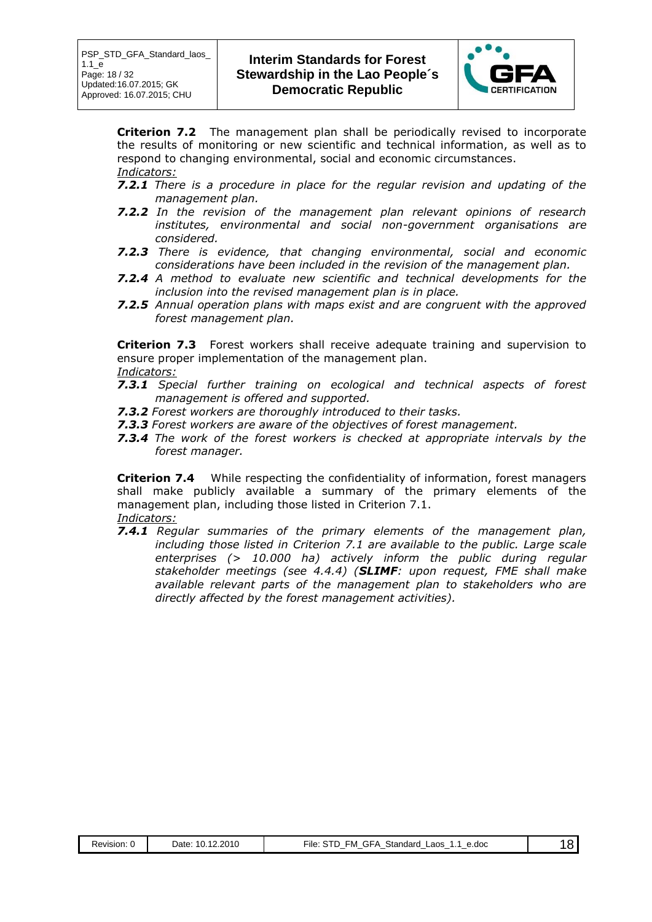

**Criterion 7.2** The management plan shall be periodically revised to incorporate the results of monitoring or new scientific and technical information, as well as to respond to changing environmental, social and economic circumstances. *Indicators:*

- *7.2.1 There is a procedure in place for the regular revision and updating of the management plan.*
- *7.2.2 In the revision of the management plan relevant opinions of research institutes, environmental and social non-government organisations are considered.*
- *7.2.3 There is evidence, that changing environmental, social and economic considerations have been included in the revision of the management plan.*
- *7.2.4 A method to evaluate new scientific and technical developments for the inclusion into the revised management plan is in place.*
- *7.2.5 Annual operation plans with maps exist and are congruent with the approved forest management plan.*

**Criterion 7.3** Forest workers shall receive adequate training and supervision to ensure proper implementation of the management plan.

- *Indicators:*
- *7.3.1 Special further training on ecological and technical aspects of forest management is offered and supported.*
- *7.3.2 Forest workers are thoroughly introduced to their tasks.*
- *7.3.3 Forest workers are aware of the objectives of forest management.*
- *7.3.4 The work of the forest workers is checked at appropriate intervals by the forest manager.*

**Criterion 7.4** While respecting the confidentiality of information, forest managers shall make publicly available a summary of the primary elements of the management plan, including those listed in Criterion 7.1. *Indicators:*

*7.4.1 Regular summaries of the primary elements of the management plan, including those listed in Criterion 7.1 are available to the public. Large scale enterprises (> 10.000 ha) actively inform the public during regular stakeholder meetings (see 4.4.4) (SLIMF: upon request, FME shall make available relevant parts of the management plan to stakeholders who are directly affected by the forest management activities).*

| $. \Box \text{MEP}$<br>_____ | 2010<br>)ate<br>0 | aos<br>e.doc<br>,⊰tandard<br>-ıle<br>-M<br>$\overline{\phantom{a}}$<br>$\overline{\phantom{a}}$<br>$\overline{\phantom{a}}$<br>$\sim$<br>. |  |
|------------------------------|-------------------|--------------------------------------------------------------------------------------------------------------------------------------------|--|
|                              |                   |                                                                                                                                            |  |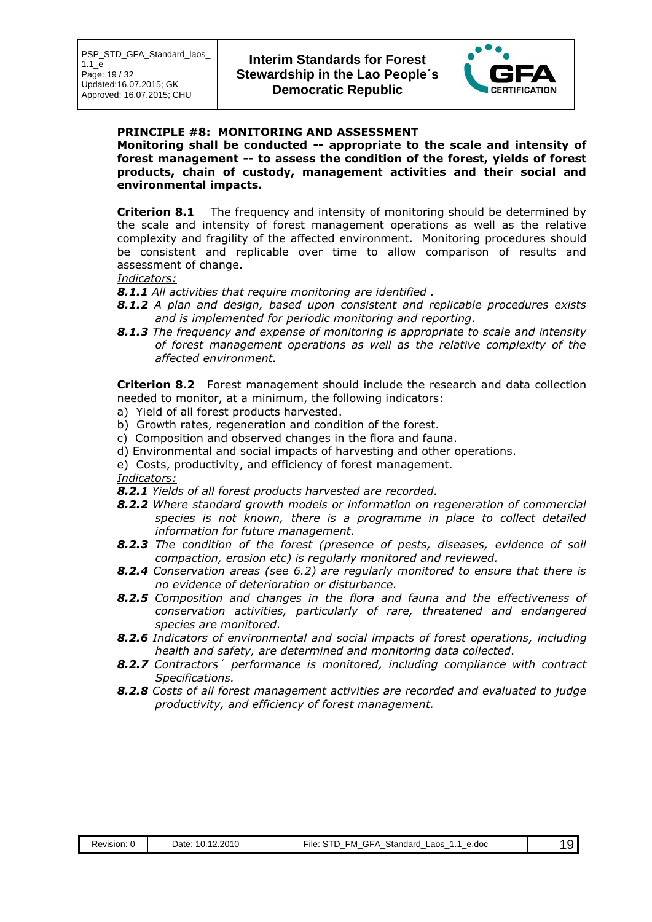

#### **PRINCIPLE #8: MONITORING AND ASSESSMENT**

**Monitoring shall be conducted -- appropriate to the scale and intensity of forest management -- to assess the condition of the forest, yields of forest products, chain of custody, management activities and their social and environmental impacts.**

**Criterion 8.1** The frequency and intensity of monitoring should be determined by the scale and intensity of forest management operations as well as the relative complexity and fragility of the affected environment. Monitoring procedures should be consistent and replicable over time to allow comparison of results and assessment of change.

#### *Indicators:*

- *8.1.1 All activities that require monitoring are identified .*
- *8.1.2 A plan and design, based upon consistent and replicable procedures exists and is implemented for periodic monitoring and reporting.*
- *8.1.3 The frequency and expense of monitoring is appropriate to scale and intensity of forest management operations as well as the relative complexity of the affected environment.*

**Criterion 8.2** Forest management should include the research and data collection needed to monitor, at a minimum, the following indicators:

- a) Yield of all forest products harvested.
- b) Growth rates, regeneration and condition of the forest.
- c) Composition and observed changes in the flora and fauna.
- d) Environmental and social impacts of harvesting and other operations.
- e) Costs, productivity, and efficiency of forest management.

*Indicators:*

*8.2.1 Yields of all forest products harvested are recorded.*

- *8.2.2 Where standard growth models or information on regeneration of commercial species is not known, there is a programme in place to collect detailed information for future management.*
- *8.2.3 The condition of the forest (presence of pests, diseases, evidence of soil compaction, erosion etc) is regularly monitored and reviewed.*
- *8.2.4 Conservation areas (see 6.2) are regularly monitored to ensure that there is no evidence of deterioration or disturbance.*
- *8.2.5 Composition and changes in the flora and fauna and the effectiveness of conservation activities, particularly of rare, threatened and endangered species are monitored.*
- *8.2.6 Indicators of environmental and social impacts of forest operations, including health and safety, are determined and monitoring data collected.*
- *8.2.7 Contractors´ performance is monitored, including compliance with contract Specifications.*
- *8.2.8 Costs of all forest management activities are recorded and evaluated to judge productivity, and efficiency of forest management.*

| Revision: 0 | 10.12.2010<br>Date: | FM<br>GFA<br>Standard<br>. GD-<br>∟aos<br>e.doc<br>File:<br>. . |  |
|-------------|---------------------|-----------------------------------------------------------------|--|
|-------------|---------------------|-----------------------------------------------------------------|--|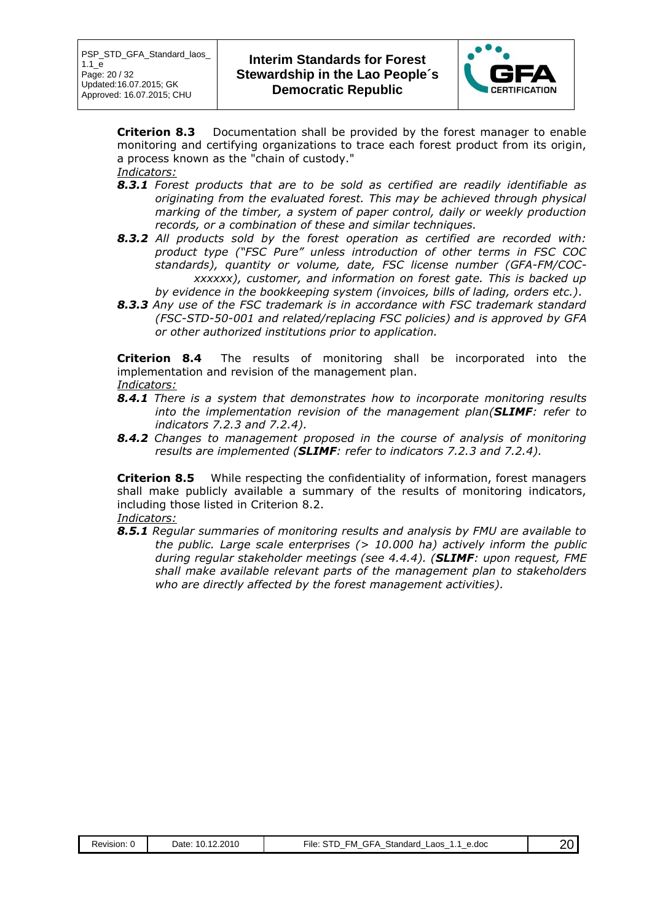

**Criterion 8.3** Documentation shall be provided by the forest manager to enable monitoring and certifying organizations to trace each forest product from its origin, a process known as the "chain of custody." *Indicators:*

- *8.3.1 Forest products that are to be sold as certified are readily identifiable as originating from the evaluated forest. This may be achieved through physical marking of the timber, a system of paper control, daily or weekly production records, or a combination of these and similar techniques.*
- *8.3.2 All products sold by the forest operation as certified are recorded with: product type ("FSC Pure" unless introduction of other terms in FSC COC standards), quantity or volume, date, FSC license number (GFA-FM/COCxxxxxx), customer, and information on forest gate. This is backed up by evidence in the bookkeeping system (invoices, bills of lading, orders etc.).*
- *8.3.3 Any use of the FSC trademark is in accordance with FSC trademark standard (FSC-STD-50-001 and related/replacing FSC policies) and is approved by GFA or other authorized institutions prior to application.*

**Criterion 8.4** The results of monitoring shall be incorporated into the implementation and revision of the management plan. *Indicators:*

- *8.4.1 There is a system that demonstrates how to incorporate monitoring results into the implementation revision of the management plan(SLIMF: refer to indicators 7.2.3 and 7.2.4).*
- *8.4.2 Changes to management proposed in the course of analysis of monitoring results are implemented (SLIMF: refer to indicators 7.2.3 and 7.2.4).*

**Criterion 8.5** While respecting the confidentiality of information, forest managers shall make publicly available a summary of the results of monitoring indicators, including those listed in Criterion 8.2.

*Indicators:*

*8.5.1 Regular summaries of monitoring results and analysis by FMU are available to the public. Large scale enterprises (> 10.000 ha) actively inform the public during regular stakeholder meetings (see 4.4.4). (SLIMF: upon request, FME shall make available relevant parts of the management plan to stakeholders who are directly affected by the forest management activities).*

| Revision: | 2.2010<br>$10.1^{\circ}$<br>Jate: | Standard<br>e.doc<br>.aos<br>⊣⊢A<br>∙ıle<br>-M<br>.<br>$\overline{\phantom{a}}$<br>$\overline{\phantom{a}}$<br>$\overline{\phantom{a}}$<br>_<br>_ |  |
|-----------|-----------------------------------|---------------------------------------------------------------------------------------------------------------------------------------------------|--|
|           |                                   |                                                                                                                                                   |  |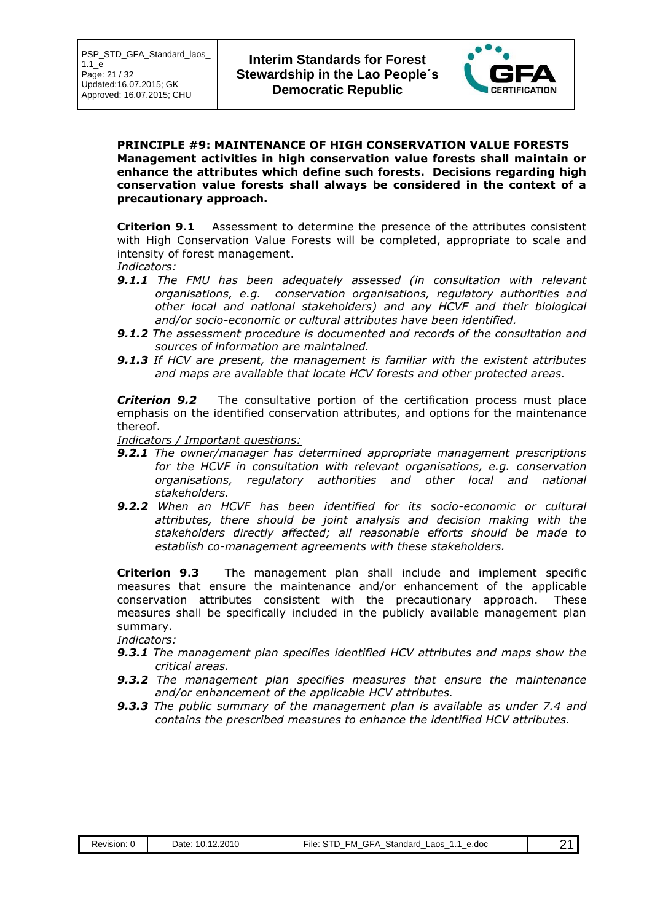

#### **PRINCIPLE #9: MAINTENANCE OF HIGH CONSERVATION VALUE FORESTS Management activities in high conservation value forests shall maintain or enhance the attributes which define such forests. Decisions regarding high conservation value forests shall always be considered in the context of a precautionary approach.**

**Criterion 9.1** Assessment to determine the presence of the attributes consistent with High Conservation Value Forests will be completed, appropriate to scale and intensity of forest management.

- *Indicators:*
- *9.1.1 The FMU has been adequately assessed (in consultation with relevant organisations, e.g. conservation organisations, regulatory authorities and other local and national stakeholders) and any HCVF and their biological and/or socio-economic or cultural attributes have been identified.*
- *9.1.2 The assessment procedure is documented and records of the consultation and sources of information are maintained.*
- *9.1.3 If HCV are present, the management is familiar with the existent attributes and maps are available that locate HCV forests and other protected areas.*

**Criterion 9.2** The consultative portion of the certification process must place emphasis on the identified conservation attributes, and options for the maintenance thereof.

*Indicators / Important questions:*

- *9.2.1 The owner/manager has determined appropriate management prescriptions for the HCVF in consultation with relevant organisations, e.g. conservation organisations, regulatory authorities and other local and national stakeholders.*
- *9.2.2 When an HCVF has been identified for its socio-economic or cultural attributes, there should be joint analysis and decision making with the stakeholders directly affected; all reasonable efforts should be made to establish co-management agreements with these stakeholders.*

**Criterion 9.3** The management plan shall include and implement specific measures that ensure the maintenance and/or enhancement of the applicable conservation attributes consistent with the precautionary approach. These measures shall be specifically included in the publicly available management plan summary.

*Indicators:*

- *9.3.1 The management plan specifies identified HCV attributes and maps show the critical areas.*
- *9.3.2 The management plan specifies measures that ensure the maintenance and/or enhancement of the applicable HCV attributes.*
- *9.3.3 The public summary of the management plan is available as under 7.4 and contains the prescribed measures to enhance the identified HCV attributes.*

| wisior | >201<br>$\sim$<br>Jate<br>.u .u | ---<br>.doc<br>_aos<br>∙ıle<br>⊢M<br>∍тanαaro<br>. .<br>-<br>$\overline{\phantom{a}}$<br>$\overline{\phantom{a}}$<br>$\overline{\phantom{a}}$<br>$\overline{\phantom{a}}$<br>$\sim$<br>$\overline{\phantom{a}}$ |  |
|--------|---------------------------------|-----------------------------------------------------------------------------------------------------------------------------------------------------------------------------------------------------------------|--|
|        |                                 |                                                                                                                                                                                                                 |  |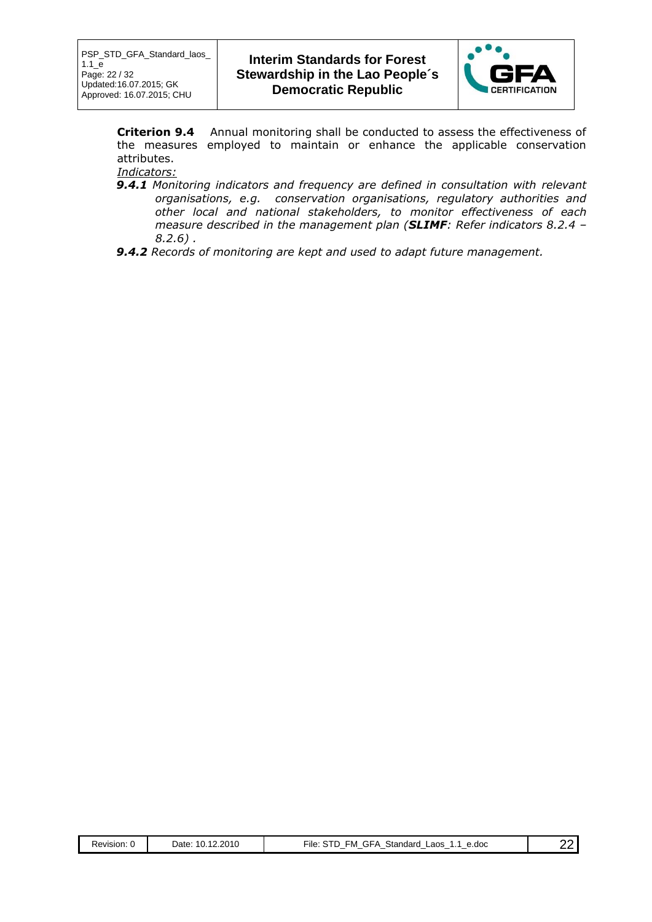

**Criterion 9.4** Annual monitoring shall be conducted to assess the effectiveness of the measures employed to maintain or enhance the applicable conservation attributes.

- *Indicators:*
- *9.4.1 Monitoring indicators and frequency are defined in consultation with relevant organisations, e.g. conservation organisations, regulatory authorities and other local and national stakeholders, to monitor effectiveness of each measure described in the management plan (SLIMF: Refer indicators 8.2.4 – 8.2.6) .*
- *9.4.2 Records of monitoring are kept and used to adapt future management.*

| <b>GFA</b><br>FM<br>STD<br>File∶<br>10.12.2010<br>Standard<br>∟aos<br>⊃ate:<br>Revision: 0<br>e.doc<br>. |  |
|----------------------------------------------------------------------------------------------------------|--|
|----------------------------------------------------------------------------------------------------------|--|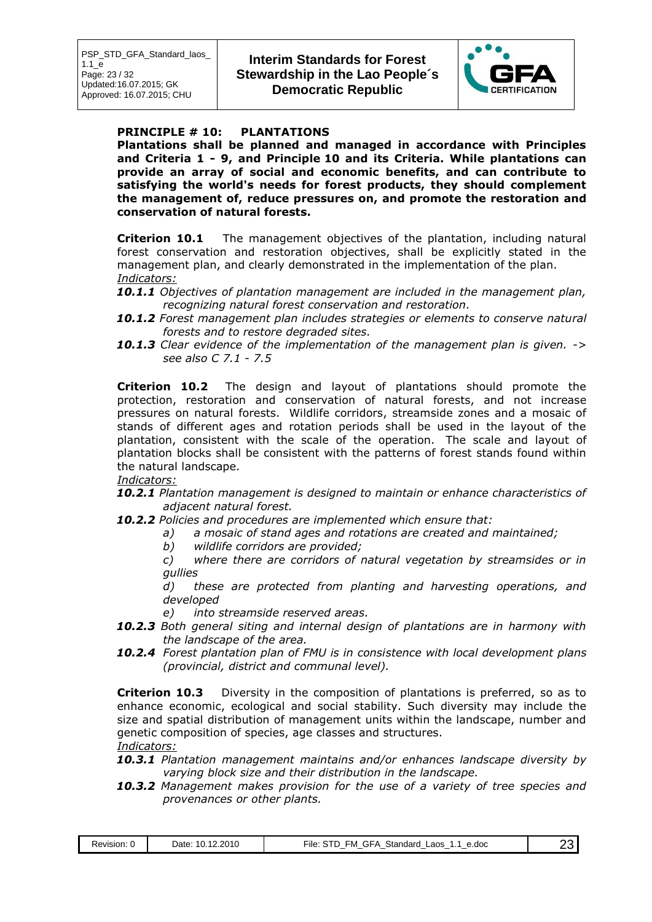

#### **PRINCIPLE # 10: PLANTATIONS**

**Plantations shall be planned and managed in accordance with Principles and Criteria 1 - 9, and Principle 10 and its Criteria. While plantations can provide an array of social and economic benefits, and can contribute to satisfying the world's needs for forest products, they should complement the management of, reduce pressures on, and promote the restoration and conservation of natural forests.**

**Criterion 10.1** The management objectives of the plantation, including natural forest conservation and restoration objectives, shall be explicitly stated in the management plan, and clearly demonstrated in the implementation of the plan. *Indicators:*

- *10.1.1 Objectives of plantation management are included in the management plan, recognizing natural forest conservation and restoration.*
- *10.1.2 Forest management plan includes strategies or elements to conserve natural forests and to restore degraded sites.*
- *10.1.3 Clear evidence of the implementation of the management plan is given. -> see also C 7.1 - 7.5*

**Criterion 10.2** The design and layout of plantations should promote the protection, restoration and conservation of natural forests, and not increase pressures on natural forests. Wildlife corridors, streamside zones and a mosaic of stands of different ages and rotation periods shall be used in the layout of the plantation, consistent with the scale of the operation. The scale and layout of plantation blocks shall be consistent with the patterns of forest stands found within the natural landscape.

*Indicators:*

- *10.2.1 Plantation management is designed to maintain or enhance characteristics of adjacent natural forest.*
- *10.2.2 Policies and procedures are implemented which ensure that:*
	- *a) a mosaic of stand ages and rotations are created and maintained;*
		- *b) wildlife corridors are provided;*

*c) where there are corridors of natural vegetation by streamsides or in gullies* 

*d) these are protected from planting and harvesting operations, and developed*

- *e) into streamside reserved areas.*
- *10.2.3 Both general siting and internal design of plantations are in harmony with the landscape of the area.*
- *10.2.4 Forest plantation plan of FMU is in consistence with local development plans (provincial, district and communal level).*

**Criterion 10.3** Diversity in the composition of plantations is preferred, so as to enhance economic, ecological and social stability. Such diversity may include the size and spatial distribution of management units within the landscape, number and genetic composition of species, age classes and structures. *Indicators:*

- *10.3.1 Plantation management maintains and/or enhances landscape diversity by varying block size and their distribution in the landscape.*
- *10.3.2 Management makes provision for the use of a variety of tree species and provenances or other plants.*

| Revision: | 12.2010<br>$\overline{a}$<br>711<br>Date<br>.w. | GFA<br>e.doc<br>Standard<br>.aos<br>-M<br>∙ıle<br>. .<br>$\overline{\phantom{a}}$<br>$\overline{\phantom{a}}$<br>$\overline{\phantom{a}}$<br>$\sim$<br>-<br>_ | . |  |
|-----------|-------------------------------------------------|---------------------------------------------------------------------------------------------------------------------------------------------------------------|---|--|
|-----------|-------------------------------------------------|---------------------------------------------------------------------------------------------------------------------------------------------------------------|---|--|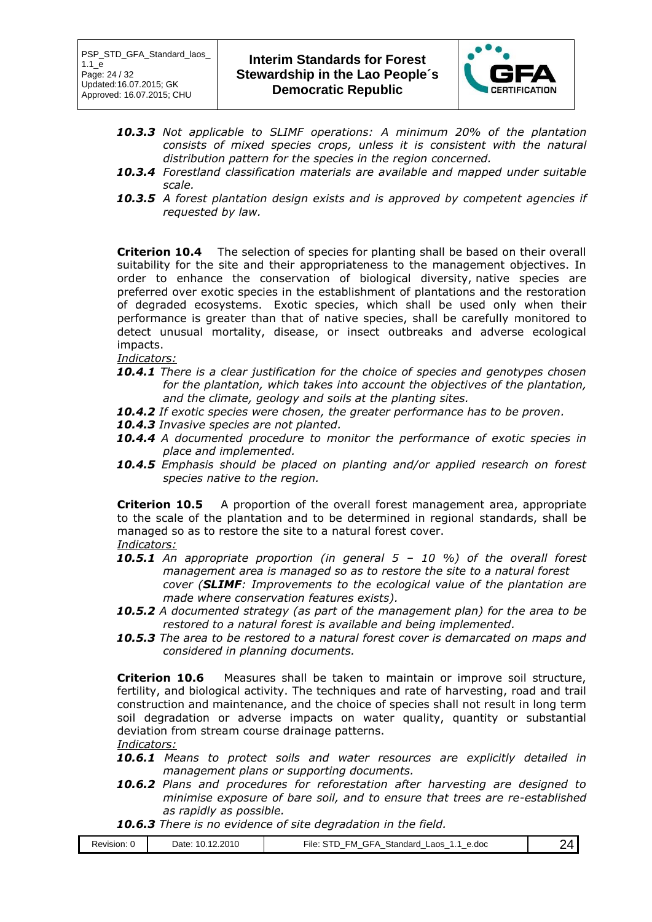

- *10.3.3 Not applicable to SLIMF operations: A minimum 20% of the plantation*  consists of mixed species crops, unless it is consistent with the natural *distribution pattern for the species in the region concerned.*
- *10.3.4 Forestland classification materials are available and mapped under suitable scale.*
- *10.3.5 A forest plantation design exists and is approved by competent agencies if requested by law.*

**Criterion 10.4** The selection of species for planting shall be based on their overall suitability for the site and their appropriateness to the management objectives. In order to enhance the conservation of biological diversity, native species are preferred over exotic species in the establishment of plantations and the restoration of degraded ecosystems. Exotic species, which shall be used only when their performance is greater than that of native species, shall be carefully monitored to detect unusual mortality, disease, or insect outbreaks and adverse ecological impacts.

*Indicators:*

- *10.4.1 There is a clear justification for the choice of species and genotypes chosen*  for the plantation, which takes into account the objectives of the plantation, *and the climate, geology and soils at the planting sites.*
- *10.4.2 If exotic species were chosen, the greater performance has to be proven.*
- *10.4.3 Invasive species are not planted.*
- *10.4.4 A documented procedure to monitor the performance of exotic species in place and implemented.*
- *10.4.5 Emphasis should be placed on planting and/or applied research on forest species native to the region.*

**Criterion 10.5** A proportion of the overall forest management area, appropriate to the scale of the plantation and to be determined in regional standards, shall be managed so as to restore the site to a natural forest cover. *Indicators:*

- *10.5.1 An appropriate proportion (in general 5 – 10 %) of the overall forest management area is managed so as to restore the site to a natural forest cover (SLIMF: Improvements to the ecological value of the plantation are made where conservation features exists).*
- *10.5.2 A documented strategy (as part of the management plan) for the area to be restored to a natural forest is available and being implemented.*
- *10.5.3 The area to be restored to a natural forest cover is demarcated on maps and considered in planning documents.*

**Criterion 10.6** Measures shall be taken to maintain or improve soil structure, fertility, and biological activity. The techniques and rate of harvesting, road and trail construction and maintenance, and the choice of species shall not result in long term soil degradation or adverse impacts on water quality, quantity or substantial deviation from stream course drainage patterns. *Indicators:*

- *10.6.1 Means to protect soils and water resources are explicitly detailed in management plans or supporting documents.*
- *10.6.2 Plans and procedures for reforestation after harvesting are designed to minimise exposure of bare soil, and to ensure that trees are re-established as rapidly as possible.*
- *10.6.3 There is no evidence of site degradation in the field.*

| $\sim$ $-$<br>2.2010<br>$\overline{\phantom{a}}$<br>Standard<br>٠M<br>∴ ⊾∍⊢^<br>Date<br>-aos<br>e.doc<br>Revision.<br>∼ıle.<br>-<br>.<br><br>$\overline{\phantom{a}}$<br>$\overline{\phantom{a}}$<br>$\overline{\phantom{a}}$<br>$\overline{\phantom{a}}$<br>$\overline{\phantom{a}}$<br>$\overline{\phantom{a}}$ |  |
|-------------------------------------------------------------------------------------------------------------------------------------------------------------------------------------------------------------------------------------------------------------------------------------------------------------------|--|
|-------------------------------------------------------------------------------------------------------------------------------------------------------------------------------------------------------------------------------------------------------------------------------------------------------------------|--|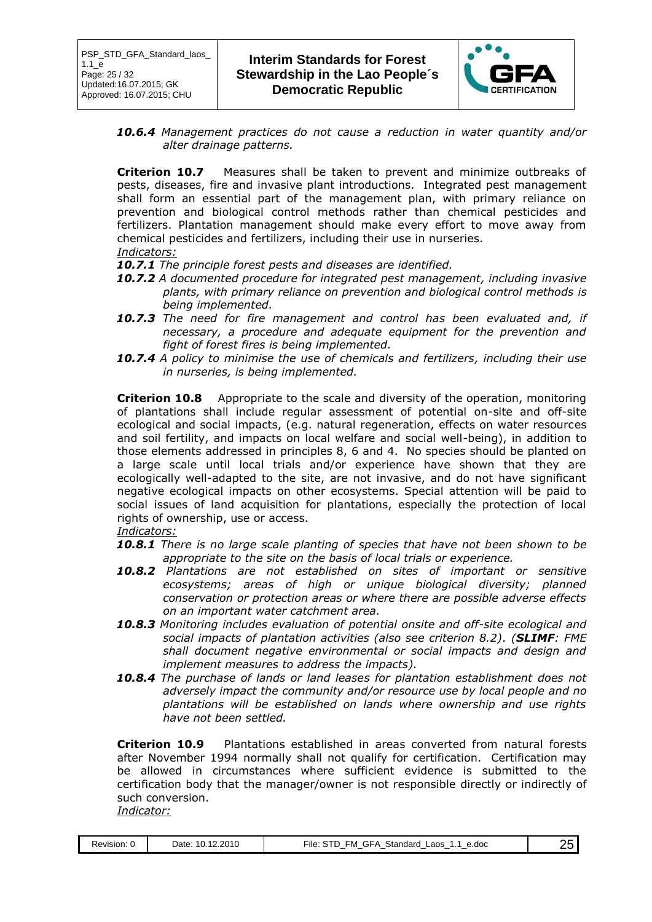

*10.6.4 Management practices do not cause a reduction in water quantity and/or alter drainage patterns.*

**Criterion 10.7** Measures shall be taken to prevent and minimize outbreaks of pests, diseases, fire and invasive plant introductions. Integrated pest management shall form an essential part of the management plan, with primary reliance on prevention and biological control methods rather than chemical pesticides and fertilizers. Plantation management should make every effort to move away from chemical pesticides and fertilizers, including their use in nurseries. *Indicators:*

- *10.7.1 The principle forest pests and diseases are identified.*
- *10.7.2 A documented procedure for integrated pest management, including invasive plants, with primary reliance on prevention and biological control methods is being implemented.*
- *10.7.3 The need for fire management and control has been evaluated and, if necessary, a procedure and adequate equipment for the prevention and fight of forest fires is being implemented.*
- *10.7.4 A policy to minimise the use of chemicals and fertilizers, including their use in nurseries, is being implemented.*

**Criterion 10.8** Appropriate to the scale and diversity of the operation, monitoring of plantations shall include regular assessment of potential on-site and off-site ecological and social impacts, (e.g. natural regeneration, effects on water resources and soil fertility, and impacts on local welfare and social well-being), in addition to those elements addressed in principles 8, 6 and 4. No species should be planted on a large scale until local trials and/or experience have shown that they are ecologically well-adapted to the site, are not invasive, and do not have significant negative ecological impacts on other ecosystems. Special attention will be paid to social issues of land acquisition for plantations, especially the protection of local rights of ownership, use or access.

*Indicators:*

- *10.8.1 There is no large scale planting of species that have not been shown to be appropriate to the site on the basis of local trials or experience.*
- *10.8.2 Plantations are not established on sites of important or sensitive ecosystems; areas of high or unique biological diversity; planned conservation or protection areas or where there are possible adverse effects on an important water catchment area.*
- *10.8.3 Monitoring includes evaluation of potential onsite and off-site ecological and social impacts of plantation activities (also see criterion 8.2). (SLIMF: FME shall document negative environmental or social impacts and design and implement measures to address the impacts).*
- *10.8.4 The purchase of lands or land leases for plantation establishment does not adversely impact the community and/or resource use by local people and no plantations will be established on lands where ownership and use rights have not been settled.*

**Criterion 10.9** Plantations established in areas converted from natural forests after November 1994 normally shall not qualify for certification. Certification may be allowed in circumstances where sufficient evidence is submitted to the certification body that the manager/owner is not responsible directly or indirectly of such conversion.

*Indicator:*

| Revision: 0 | 10.12.2010<br>Date: | <b>GFA</b><br>™ile:<br>ΞM<br>Standard<br>, TD .<br>e.doc<br>∟aos<br>- | בו |  |
|-------------|---------------------|-----------------------------------------------------------------------|----|--|
|-------------|---------------------|-----------------------------------------------------------------------|----|--|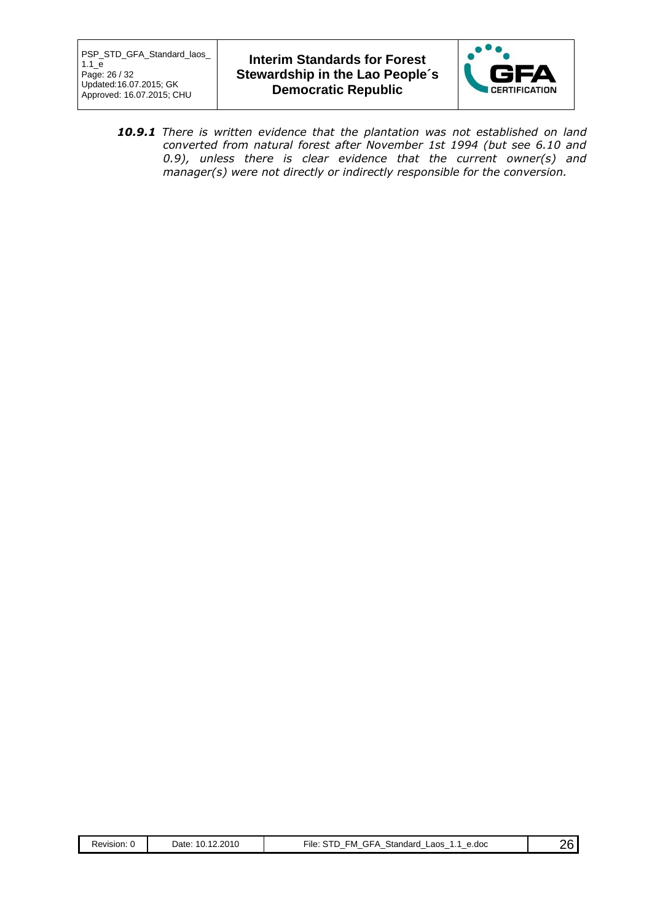

*10.9.1 There is written evidence that the plantation was not established on land converted from natural forest after November 1st 1994 (but see 6.10 and 0.9), unless there is clear evidence that the current owner(s) and manager(s) were not directly or indirectly responsible for the conversion.*

| Revision: | 10.12.2010<br>⊃ate: | GFA<br>Standard<br>.STD.<br>FM.<br>Laos<br>e.doc<br>∽ıle:<br>╶ | ን6 |
|-----------|---------------------|----------------------------------------------------------------|----|
|           |                     |                                                                |    |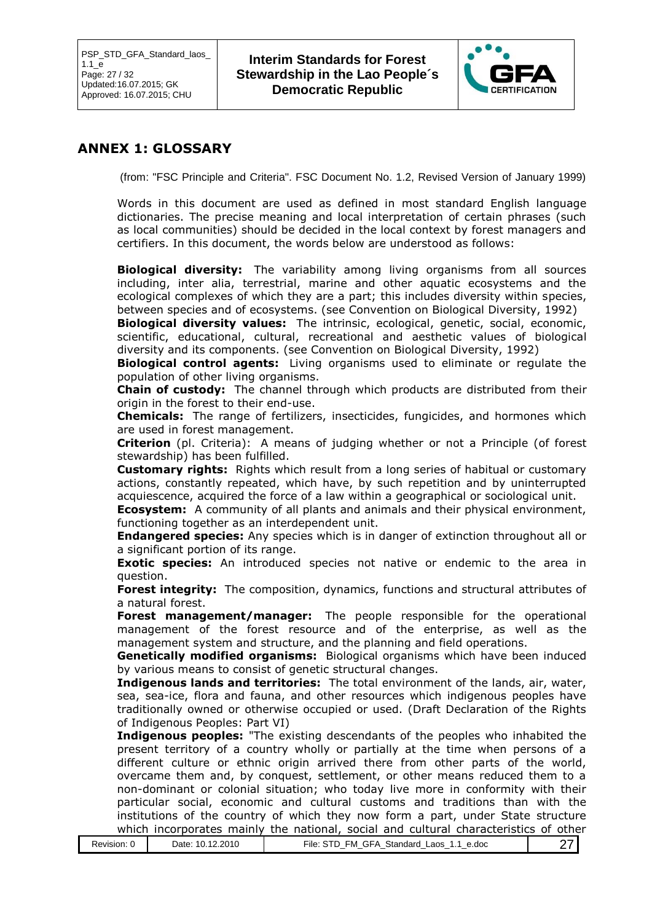

## **ANNEX 1: GLOSSARY**

(from: "FSC Principle and Criteria". FSC Document No. 1.2, Revised Version of January 1999)

Words in this document are used as defined in most standard English language dictionaries. The precise meaning and local interpretation of certain phrases (such as local communities) should be decided in the local context by forest managers and certifiers. In this document, the words below are understood as follows:

**Biological diversity:** The variability among living organisms from all sources including, inter alia, terrestrial, marine and other aquatic ecosystems and the ecological complexes of which they are a part; this includes diversity within species, between species and of ecosystems. (see Convention on Biological Diversity, 1992)

**Biological diversity values:** The intrinsic, ecological, genetic, social, economic, scientific, educational, cultural, recreational and aesthetic values of biological diversity and its components. (see Convention on Biological Diversity, 1992)

**Biological control agents:** Living organisms used to eliminate or regulate the population of other living organisms.

**Chain of custody:** The channel through which products are distributed from their origin in the forest to their end-use.

**Chemicals:** The range of fertilizers, insecticides, fungicides, and hormones which are used in forest management.

**Criterion** (pl. Criteria): A means of judging whether or not a Principle (of forest stewardship) has been fulfilled.

**Customary rights:** Rights which result from a long series of habitual or customary actions, constantly repeated, which have, by such repetition and by uninterrupted acquiescence, acquired the force of a law within a geographical or sociological unit.

**Ecosystem:** A community of all plants and animals and their physical environment, functioning together as an interdependent unit.

**Endangered species:** Any species which is in danger of extinction throughout all or a significant portion of its range.

**Exotic species:** An introduced species not native or endemic to the area in question.

**Forest integrity:** The composition, dynamics, functions and structural attributes of a natural forest.

**Forest management/manager:** The people responsible for the operational management of the forest resource and of the enterprise, as well as the management system and structure, and the planning and field operations.

**Genetically modified organisms:** Biological organisms which have been induced by various means to consist of genetic structural changes.

**Indigenous lands and territories:** The total environment of the lands, air, water, sea, sea-ice, flora and fauna, and other resources which indigenous peoples have traditionally owned or otherwise occupied or used. (Draft Declaration of the Rights of Indigenous Peoples: Part VI)

**Indigenous peoples:** "The existing descendants of the peoples who inhabited the present territory of a country wholly or partially at the time when persons of a different culture or ethnic origin arrived there from other parts of the world, overcame them and, by conquest, settlement, or other means reduced them to a non-dominant or colonial situation; who today live more in conformity with their particular social, economic and cultural customs and traditions than with the institutions of the country of which they now form a part, under State structure which incorporates mainly the national, social and cultural characteristics of other

|--|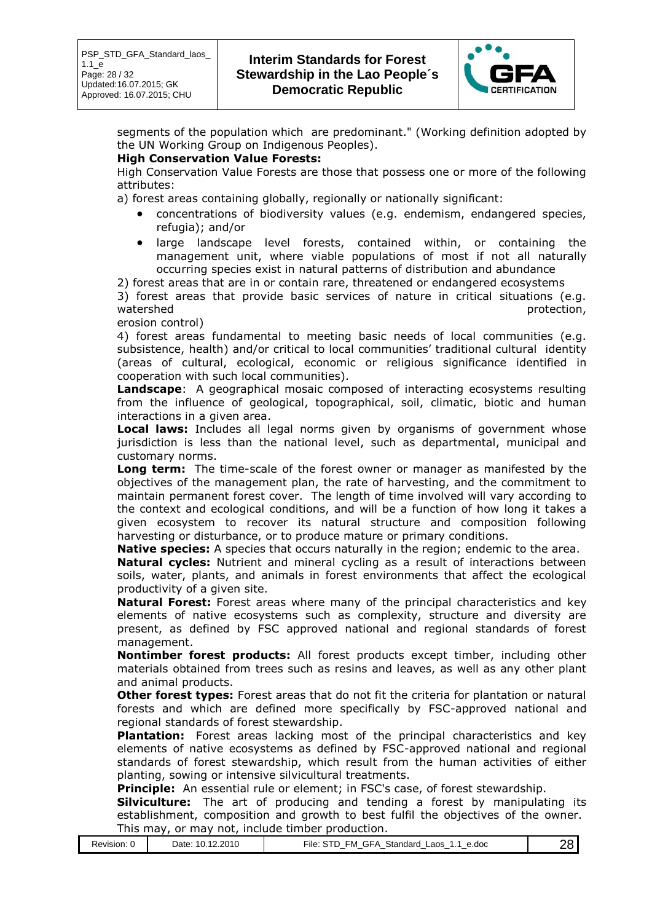

segments of the population which are predominant." (Working definition adopted by the UN Working Group on Indigenous Peoples).

#### **High Conservation Value Forests:**

High Conservation Value Forests are those that possess one or more of the following attributes:

a) forest areas containing globally, regionally or nationally significant:

- concentrations of biodiversity values (e.g. endemism, endangered species, refugia); and/or
- large landscape level forests, contained within, or containing the management unit, where viable populations of most if not all naturally occurring species exist in natural patterns of distribution and abundance

2) forest areas that are in or contain rare, threatened or endangered ecosystems 3) forest areas that provide basic services of nature in critical situations (e.g. watershed protection, and the protection of the protection, and the protection, and the protection,  $\mathbf{p}$ 

erosion control)

4) forest areas fundamental to meeting basic needs of local communities (e.g. subsistence, health) and/or critical to local communities' traditional cultural identity (areas of cultural, ecological, economic or religious significance identified in cooperation with such local communities).

**Landscape**: A geographical mosaic composed of interacting ecosystems resulting from the influence of geological, topographical, soil, climatic, biotic and human interactions in a given area.

**Local laws:** Includes all legal norms given by organisms of government whose jurisdiction is less than the national level, such as departmental, municipal and customary norms.

**Long term:** The time-scale of the forest owner or manager as manifested by the objectives of the management plan, the rate of harvesting, and the commitment to maintain permanent forest cover. The length of time involved will vary according to the context and ecological conditions, and will be a function of how long it takes a given ecosystem to recover its natural structure and composition following harvesting or disturbance, or to produce mature or primary conditions.

**Native species:** A species that occurs naturally in the region; endemic to the area.

**Natural cycles:** Nutrient and mineral cycling as a result of interactions between soils, water, plants, and animals in forest environments that affect the ecological productivity of a given site.

**Natural Forest:** Forest areas where many of the principal characteristics and key elements of native ecosystems such as complexity, structure and diversity are present, as defined by FSC approved national and regional standards of forest management.

**Nontimber forest products:** All forest products except timber, including other materials obtained from trees such as resins and leaves, as well as any other plant and animal products.

**Other forest types:** Forest areas that do not fit the criteria for plantation or natural forests and which are defined more specifically by FSC-approved national and regional standards of forest stewardship.

**Plantation:** Forest areas lacking most of the principal characteristics and key elements of native ecosystems as defined by FSC-approved national and regional standards of forest stewardship, which result from the human activities of either planting, sowing or intensive silvicultural treatments.

**Principle:** An essential rule or element; in FSC's case, of forest stewardship.

**Silviculture:** The art of producing and tending a forest by manipulating its establishment, composition and growth to best fulfil the objectives of the owner. This may, or may not, include timber production.

| Revision: 0 | 12.2010<br>10.<br>Date | $-$<br>$\sim$<br>Standard<br>e.doc<br>-aos<br>-ile.<br>FМ<br>$\mathbf{u}$<br>ᄔ<br>ີ<br>$\overline{\phantom{a}}$<br>$\overline{\phantom{a}}$<br>$\overline{\phantom{a}}$<br>$\overline{\phantom{a}}$<br>$\overline{\phantom{a}}$<br>$\overline{\phantom{a}}$ | <br>-<br>$\sim$<br>- |
|-------------|------------------------|-------------------------------------------------------------------------------------------------------------------------------------------------------------------------------------------------------------------------------------------------------------|----------------------|
|-------------|------------------------|-------------------------------------------------------------------------------------------------------------------------------------------------------------------------------------------------------------------------------------------------------------|----------------------|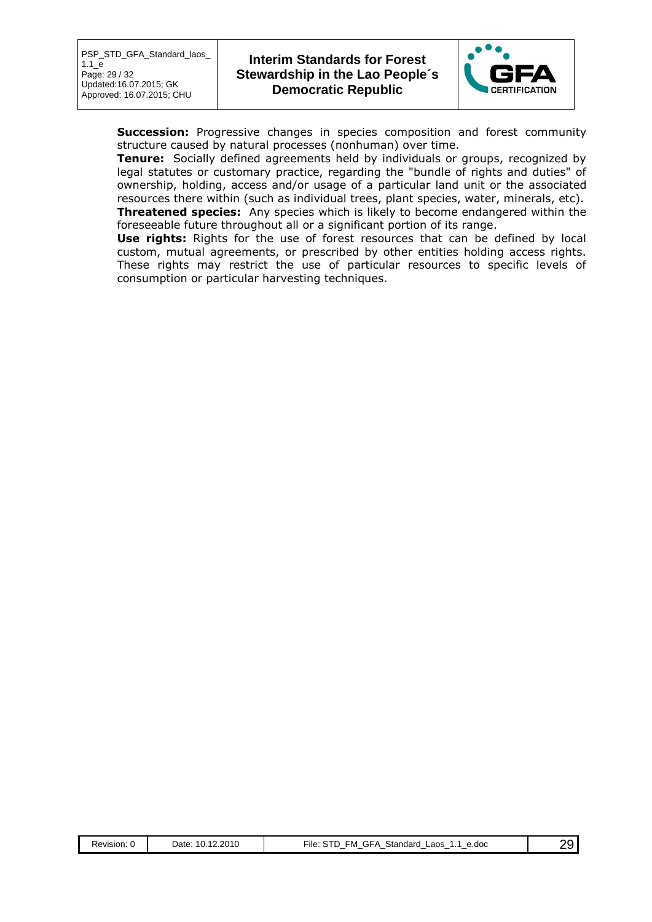

**Succession:** Progressive changes in species composition and forest community structure caused by natural processes (nonhuman) over time.

**Tenure:** Socially defined agreements held by individuals or groups, recognized by legal statutes or customary practice, regarding the "bundle of rights and duties" of ownership, holding, access and/or usage of a particular land unit or the associated resources there within (such as individual trees, plant species, water, minerals, etc). **Threatened species:** Any species which is likely to become endangered within the foreseeable future throughout all or a significant portion of its range.

**Use rights:** Rights for the use of forest resources that can be defined by local custom, mutual agreements, or prescribed by other entities holding access rights. These rights may restrict the use of particular resources to specific levels of consumption or particular harvesting techniques.

| Revision: U | .12.2010<br>10.<br>⊃ate: | GFA<br>Standard<br>FM<br>∟aos<br>e.doc<br>rile:<br>. . | ٦٥ |
|-------------|--------------------------|--------------------------------------------------------|----|
|-------------|--------------------------|--------------------------------------------------------|----|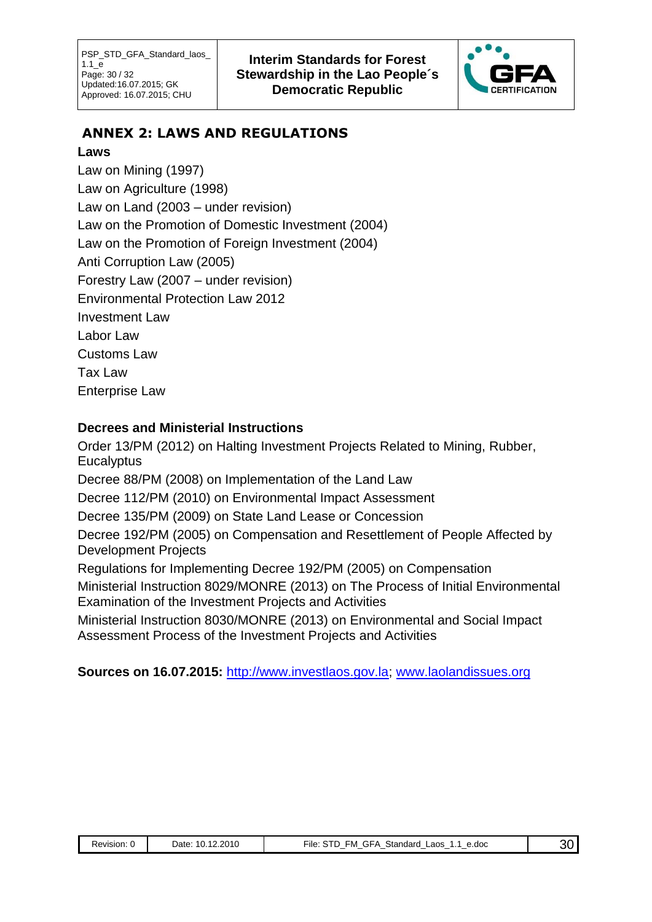

# **ANNEX 2: LAWS AND REGULATIONS**

## **Laws**

Law on Mining (1997) Law on Agriculture (1998) Law on Land (2003 – under revision) Law on the Promotion of Domestic Investment (2004) Law on the Promotion of Foreign Investment (2004) Anti Corruption Law (2005) Forestry Law (2007 – under revision) Environmental Protection Law 2012 Investment Law Labor Law Customs Law Tax Law Enterprise Law

## **Decrees and Ministerial Instructions**

Order 13/PM (2012) on Halting Investment Projects Related to Mining, Rubber, **Eucalyptus** Decree 88/PM (2008) on Implementation of the Land Law Decree 112/PM (2010) on Environmental Impact Assessment Decree 135/PM (2009) on State Land Lease or Concession Decree 192/PM (2005) on Compensation and Resettlement of People Affected by Development Projects Regulations for Implementing Decree 192/PM (2005) on Compensation Ministerial Instruction 8029/MONRE (2013) on The Process of Initial Environmental Examination of the Investment Projects and Activities Ministerial Instruction 8030/MONRE (2013) on Environmental and Social Impact Assessment Process of the Investment Projects and Activities

**Sources on 16.07.2015:** [http://www.investlaos.gov.la;](http://www.investlaos.gov.la/) www.laolandissues.org

|  | Revision: 0 | 10.12.2010<br>Date: | FM GFA<br>File: STD<br>Standard<br>Laos<br>e.doc |  |
|--|-------------|---------------------|--------------------------------------------------|--|
|--|-------------|---------------------|--------------------------------------------------|--|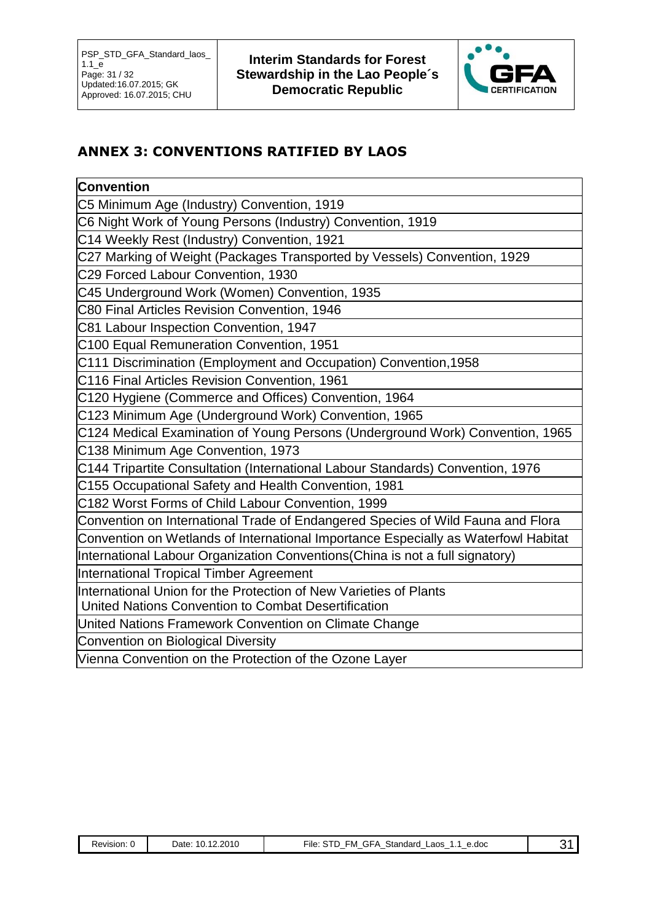

# **ANNEX 3: CONVENTIONS RATIFIED BY LAOS**

## **Convention**

[C5 Minimum Age \(Industry\) Convention, 1919](http://www.ilo.org.vn/images/stories/ratified_pdfs/C5.pdf)

[C6 Night Work of Young Persons \(Industry\) Convention, 1919](http://www.ilo.org.vn/images/stories/ratified_pdfs/C6.pdf)

[C14 Weekly Rest \(Industry\) Convention, 1921](http://www.ilo.org.vn/images/stories/ratified_pdfs/C14.pdf)

[C27 Marking of Weight \(Packages Transported by Vessels\) Convention, 1929](http://www.ilo.org.vn/images/stories/ratified_pdfs/C27.pdf)

[C29 Forced Labour Convention, 1930](http://www.ilo.org.vn/images/stories/ratified_pdfs/C29.pdf)

[C45 Underground Work \(Women\) Convention, 1935](http://www.ilo.org.vn/images/stories/ratified_pdfs/C45.pdf)

[C80 Final Articles Revision Convention, 1946](http://www.ilo.org.vn/images/stories/ratified_pdfs/C80.pdf)

[C81 Labour Inspection Convention, 1947](http://www.ilo.org.vn/images/stories/ratified_pdfs/C81.pdf)

[C100 Equal Remuneration Convention, 1951](http://www.ilo.org.vn/images/stories/ratified_pdfs/C100.pdf)

[C111 Discrimination \(Employment and Occupation\) Convention,1958](http://www.ilo.org.vn/images/stories/ratified_pdfs/C111.pdf)

[C116 Final Articles Revision Convention, 1961](http://www.ilo.org.vn/images/stories/ratified_pdfs/C116.pdf)

[C120 Hygiene \(Commerce and Offices\) Convention, 1964](http://www.ilo.org.vn/images/stories/ratified_pdfs/C120.pdf)

[C123 Minimum Age \(Underground Work\) Convention, 1965](http://www.ilo.org.vn/images/stories/ratified_pdfs/C123.pdf)

[C124 Medical Examination of Young Persons \(Underground Work\) Convention, 1965](http://www.ilo.org.vn/images/stories/ratified_pdfs/C124.pdf)

[C138 Minimum Age Convention, 1973](http://www.ilo.org.vn/images/stories/ratified_pdfs/C138.pdf)

[C144 Tripartite Consultation \(International Labour Standards\) Convention, 1976](http://www.ilo.org.vn/images/stories/ratified_pdfs/C144.pdf)

[C155 Occupational Safety and Health Convention, 1981](http://www.ilo.org.vn/images/stories/ratified_pdfs/C155.pdf)

[C182 Worst Forms of Child Labour Convention, 1999](http://www.ilo.org.vn/images/stories/ratified_pdfs/C182.pdf)

Convention on International Trade of Endangered Species of Wild Fauna and Flora

Convention on Wetlands of International Importance Especially as Waterfowl Habitat

International Labour Organization Conventions(China is not a full signatory)

International Tropical Timber Agreement

International Union for the Protection of New Varieties of Plants

United Nations Convention to Combat Desertification

United Nations Framework Convention on Climate Change

Convention on Biological Diversity

Vienna Convention on the Protection of the Ozone Layer

| Revision: | 12.2010<br>$\sim$<br>10<br>Date: | Standard<br>-M<br>e.doc<br>∟aos<br>.-i⊢A<br>-ıle.<br>. .<br>. .<br>- | ,, |
|-----------|----------------------------------|----------------------------------------------------------------------|----|
|           |                                  |                                                                      |    |